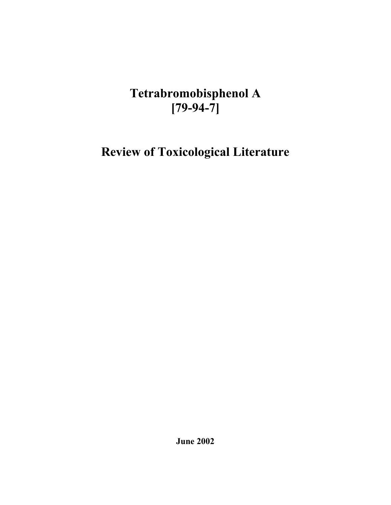# **Tetrabromobisphenol A [79-94-7]**

**Review of Toxicological Literature** 

**June 2002**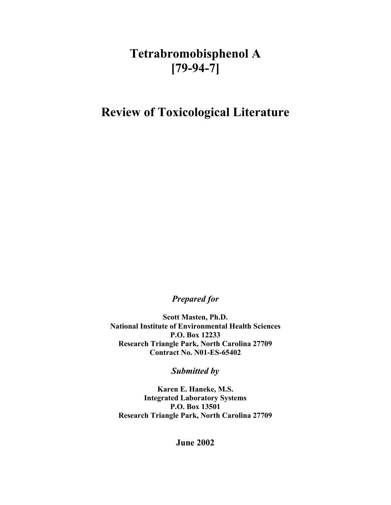# **Tetrabromobisphenol A [79-94-7]**

# **Review of Toxicological Literature**

*Prepared for* 

**Scott Masten, Ph.D. National Institute of Environmental Health Sciences P.O. Box 12233 Research Triangle Park, North Carolina 27709 Contract No. N01-ES-65402**

*Submitted by* 

**Karen E. Haneke, M.S. Integrated Laboratory Systems P.O. Box 13501 Research Triangle Park, North Carolina 27709**

**June 2002**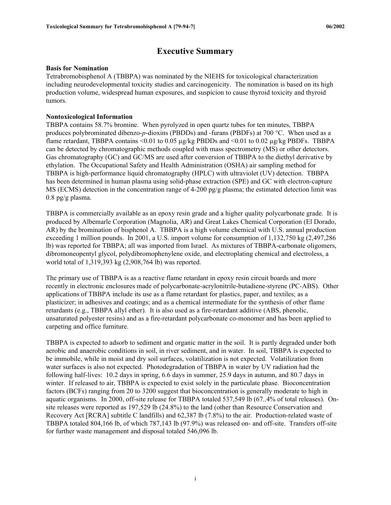## **Executive Summary**

#### <span id="page-2-0"></span>**Basis for Nomination**

Tetrabromobisphenol A (TBBPA) was nominated by the NIEHS for toxicological characterization including neurodevelopmental toxicity studies and carcinogenicity. The nomination is based on its high production volume, widespread human exposures, and suspicion to cause thyroid toxicity and thyroid tumors.

#### **Nontoxicological Information**

TBBPA contains 58.7% bromine. When pyrolyzed in open quartz tubes for ten minutes, TBBPA produces polybrominated dibenzo-*p*-dioxins (PBDDs) and -furans (PBDFs) at 700 °C. When used as a flame retardant, TBBPA contains  $\leq 0.01$  to 0.05  $\mu$ g/kg PBDDs and  $\leq 0.01$  to 0.02  $\mu$ g/kg PBDFs. TBBPA can be detected by chromatographic methods coupled with mass spectrometry (MS) or other detectors. Gas chromatography (GC) and GC/MS are used after conversion of TBBPA to the diethyl derivative by ethylation. The Occupational Safety and Health Administration (OSHA) air sampling method for TBBPA is high-performance liquid chromatography (HPLC) with ultraviolet (UV) detection. TBBPA has been determined in human plasma using solid-phase extraction (SPE) and GC with electron-capture MS (ECMS) detection in the concentration range of 4-200 pg/g plasma; the estimated detection limit was 0.8 pg/g plasma.

TBBPA is commercially available as an epoxy resin grade and a higher quality polycarbonate grade. It is produced by Albemarle Corporation (Magnolia, AR) and Great Lakes Chemical Corporation (El Dorado, AR) by the bromination of bisphenol A. TBBPA is a high volume chemical with U.S. annual production exceeding 1 million pounds. In 2001, a U.S. import volume for consumption of 1,132,750 kg (2,497,286 lb) was reported for TBBPA; all was imported from Israel. As mixtures of TBBPA-carbonate oligomers, dibromoneopentyl glycol, polydibromophenylene oxide, and electroplating chemical and electroless, a world total of 1,319,393 kg (2,908,764 lb) was reported.

The primary use of TBBPA is as a reactive flame retardant in epoxy resin circuit boards and more recently in electronic enclosures made of polycarbonate-acrylonitrile-butadiene-styrene (PC-ABS). Other applications of TBBPA include its use as a flame retardant for plastics, paper, and textiles; as a plasticizer; in adhesives and coatings; and as a chemical intermediate for the synthesis of other flame retardants (e.g., TBBPA allyl ether). It is also used as a fire-retardant additive (ABS, phenolic, unsaturated polyester resins) and as a fire-retardant polycarbonate co-monomer and has been applied to carpeting and office furniture.

TBBPA is expected to adsorb to sediment and organic matter in the soil. It is partly degraded under both aerobic and anaerobic conditions in soil, in river sediment, and in water. In soil, TBBPA is expected to be immobile, while in moist and dry soil surfaces, volatilization is not expected. Volatilization from water surfaces is also not expected. Photodegradation of TBBPA in water by UV radiation had the following half-lives: 10.2 days in spring, 6.6 days in summer, 25.9 days in autumn, and 80.7 days in winter. If released to air, TBBPA is expected to exist solely in the particulate phase. Bioconcentration factors (BCFs) ranging from 20 to 3200 suggest that bioconcentration is generally moderate to high in aquatic organisms. In 2000, off-site release for TBBPA totaled 537,549 lb (67..4% of total releases). Onsite releases were reported as 197,529 lb (24.8%) to the land (other than Resource Conservation and Recovery Act [RCRA] subtitle C landfills) and 62,387 lb (7.8%) to the air. Production-related waste of TBBPA totaled 804,166 lb, of which 787,143 lb (97.9%) was released on- and off-site. Transfers off-site for further waste management and disposal totaled 546,096 lb.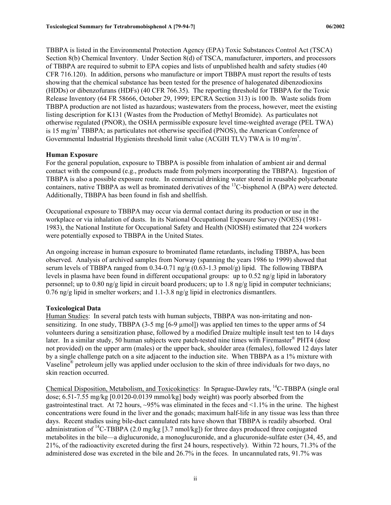TBBPA is listed in the Environmental Protection Agency (EPA) Toxic Substances Control Act (TSCA) Section 8(b) Chemical Inventory. Under Section 8(d) of TSCA, manufacturer, importers, and processors of TBBPA are required to submit to EPA copies and lists of unpublished health and safety studies (40 CFR 716.120). In addition, persons who manufacture or import TBBPA must report the results of tests showing that the chemical substance has been tested for the presence of halogenated dibenzodioxins (HDDs) or dibenzofurans (HDFs) (40 CFR 766.35). The reporting threshold for TBBPA for the Toxic Release Inventory (64 FR 58666, October 29, 1999; EPCRA Section 313) is 100 lb. Waste solids from TBBPA production are not listed as hazardous; wastewaters from the process, however, meet the existing listing description for K131 (Wastes from the Production of Methyl Bromide). As particulates not otherwise regulated (PNOR), the OSHA permissible exposure level time-weighted average (PEL TWA) is 15 mg/m<sup>3</sup> TBBPA; as particulates not otherwise specified (PNOS), the American Conference of Governmental Industrial Hygienists threshold limit value (ACGIH TLV) TWA is 10 mg/m<sup>3</sup>.

#### **Human Exposure**

For the general population, exposure to TBBPA is possible from inhalation of ambient air and dermal contact with the compound (e.g., products made from polymers incorporating the TBBPA). Ingestion of TBBPA is also a possible exposure route. In commercial drinking water stored in reusable polycarbonate containers, native TBBPA as well as brominated derivatives of the 13C-bisphenol A (BPA) were detected. Additionally, TBBPA has been found in fish and shellfish.

Occupational exposure to TBBPA may occur via dermal contact during its production or use in the workplace or via inhalation of dusts. In its National Occupational Exposure Survey (NOES) (1981 1983), the National Institute for Occupational Safety and Health (NIOSH) estimated that 224 workers were potentially exposed to TBBPA in the United States.

An ongoing increase in human exposure to brominated flame retardants, including TBBPA, has been observed. Analysis of archived samples from Norway (spanning the years 1986 to 1999) showed that serum levels of TBBPA ranged from  $0.34$ -0.71 ng/g  $(0.63$ -1.3 pmol/g) lipid. The following TBBPA levels in plasma have been found in different occupational groups: up to 0.52 ng/g lipid in laboratory personnel; up to 0.80 ng/g lipid in circuit board producers; up to 1.8 ng/g lipid in computer technicians; 0.76 ng/g lipid in smelter workers; and 1.1-3.8 ng/g lipid in electronics dismantlers.

#### **Toxicological Data**

Human Studies: In several patch tests with human subjects, TBBPA was non-irritating and nonsensitizing. In one study, TBBPA (3-5 mg  $[6-9 \mu mol]$ ) was applied ten times to the upper arms of 54 volunteers during a sensitization phase, followed by a modified Draize multiple insult test ten to 14 days later. In a similar study, 50 human subjects were patch-tested nine times with Firemaster<sup>®</sup> PHT4 (dose not provided) on the upper arm (males) or the upper back, shoulder area (females), followed 12 days later by a single challenge patch on a site adjacent to the induction site. When TBBPA as a 1% mixture with Vaseline® petroleum jelly was applied under occlusion to the skin of three individuals for two days, no skin reaction occurred.

Chemical Disposition, Metabolism, and Toxicokinetics: In Sprague-Dawley rats, <sup>14</sup>C-TBBPA (single oral dose; 6.51-7.55 mg/kg [0.0120-0.0139 mmol/kg] body weight) was poorly absorbed from the gastrointestinal tract. At 72 hours, ~95% was eliminated in the feces and <1.1% in the urine. The highest concentrations were found in the liver and the gonads; maximum half-life in any tissue was less than three days. Recent studies using bile-duct cannulated rats have shown that TBBPA is readily absorbed. Oral administration of <sup>14</sup>C-TBBPA (2.0 mg/kg [3.7 nmol/kg]) for three days produced three conjugated metabolites in the bile—a diglucuronide, a monoglucuronide, and a glucuronide-sulfate ester (34, 45, and 21%, of the radioactivity excreted during the first 24 hours, respectively). Within 72 hours, 71.3% of the administered dose was excreted in the bile and 26.7% in the feces. In uncannulated rats, 91.7% was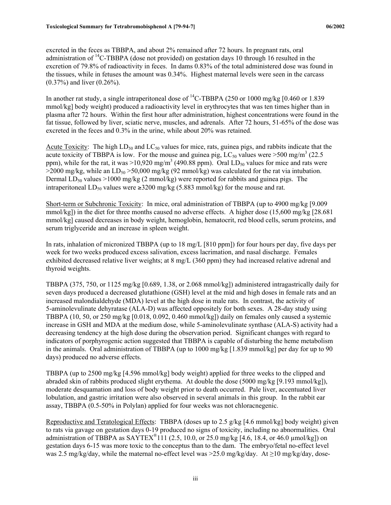excreted in the feces as TBBPA, and about 2% remained after 72 hours. In pregnant rats, oral administration of  $^{14}$ C-TBBPA (dose not provided) on gestation days 10 through 16 resulted in the excretion of 79.8% of radioactivity in feces. In dams 0.83% of the total administered dose was found in the tissues, while in fetuses the amount was 0.34%. Highest maternal levels were seen in the carcass (0.37%) and liver (0.26%).

In another rat study, a single intraperitoneal dose of <sup>14</sup>C-TBBPA (250 or 1000 mg/kg [0.460 or 1.839] mmol/kg] body weight) produced a radioactivity level in erythrocytes that was ten times higher than in plasma after 72 hours. Within the first hour after administration, highest concentrations were found in the fat tissue, followed by liver, sciatic nerve, muscles, and adrenals. After 72 hours, 51-65% of the dose was excreted in the feces and 0.3% in the urine, while about 20% was retained.

Acute Toxicity: The high  $LD_{50}$  and  $LC_{50}$  values for mice, rats, guinea pigs, and rabbits indicate that the acute toxicity of TBBPA is low. For the mouse and guinea pig,  $LC_{50}$  values were >500 mg/m<sup>3</sup> (22.5) ppm), while for the rat, it was  $>10,920$  mg/m<sup>3</sup> (490.88 ppm). Oral LD<sub>50</sub> values for mice and rats were  $>$ 2000 mg/kg, while an LD<sub>50</sub>  $>$ 50,000 mg/kg (92 mmol/kg) was calculated for the rat via intubation. Dermal  $LD_{50}$  values >1000 mg/kg (2 mmol/kg) were reported for rabbits and guinea pigs. The intraperitoneal LD<sub>50</sub> values were  $\geq$ 3200 mg/kg (5.883 mmol/kg) for the mouse and rat.

Short-term or Subchronic Toxicity: In mice, oral administration of TBBPA (up to 4900 mg/kg [9.009 mmol/kg]) in the diet for three months caused no adverse effects. A higher dose (15,600 mg/kg [28.681 mmol/kg] caused decreases in body weight, hemoglobin, hematocrit, red blood cells, serum proteins, and serum triglyceride and an increase in spleen weight.

In rats, inhalation of micronized TBBPA (up to 18 mg/L [810 ppm]) for four hours per day, five days per week for two weeks produced excess salivation, excess lacrimation, and nasal discharge. Females exhibited decreased relative liver weights; at 8 mg/L (360 ppm) they had increased relative adrenal and thyroid weights.

TBBPA (375, 750, or 1125 mg/kg [0.689, 1.38, or 2.068 mmol/kg]) administered intragastrically daily for seven days produced a decreased glutathione (GSH) level at the mid and high doses in female rats and an increased malondialdehyde (MDA) level at the high dose in male rats. In contrast, the activity of 5-aminolevulinate dehyratase (ALA-D) was affected oppositely for both sexes. A 28-day study using TBBPA (10, 50, or 250 mg/kg [0.018, 0.092, 0.460 mmol/kg]) daily on females only caused a systemic increase in GSH and MDA at the medium dose, while 5-aminolevulinate synthase (ALA-S) activity had a decreasing tendency at the high dose during the observation period. Significant changes with regard to indicators of porphyrogenic action suggested that TBBPA is capable of disturbing the heme metabolism in the animals. Oral administration of TBBPA (up to 1000 mg/kg [1.839 mmol/kg] per day for up to 90 days) produced no adverse effects.

TBBPA (up to 2500 mg/kg [4.596 mmol/kg] body weight) applied for three weeks to the clipped and abraded skin of rabbits produced slight erythema. At double the dose (5000 mg/kg [9.193 mmol/kg]), moderate desquamation and loss of body weight prior to death occurred. Pale liver, accentuated liver lobulation, and gastric irritation were also observed in several animals in this group. In the rabbit ear assay, TBBPA (0.5-50% in Polylan) applied for four weeks was not chloracnegenic.

Reproductive and Teratological Effects: TBBPA (doses up to 2.5 g/kg [4.6 mmol/kg] body weight) given to rats via gavage on gestation days 0-19 produced no signs of toxicity, including no abnormalities. Oral administration of TBBPA as  $SAYTEX^{\otimes}111$  (2.5, 10.0, or 25.0 mg/kg [4.6, 18.4, or 46.0 µmol/kg]) on gestation days 6-15 was more toxic to the conceptus than to the dam. The embryo/fetal no-effect level was 2.5 mg/kg/day, while the maternal no-effect level was  $>25.0$  mg/kg/day. At  $\geq$ 10 mg/kg/day, dose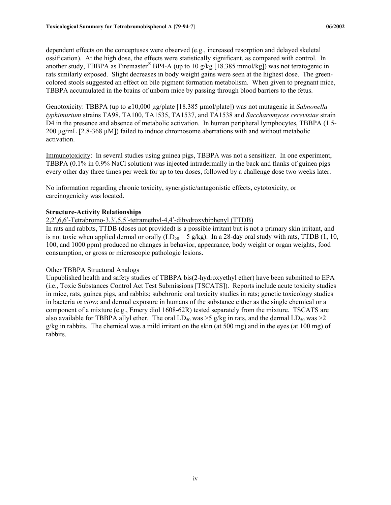dependent effects on the conceptuses were observed (e.g., increased resorption and delayed skeletal ossification). At the high dose, the effects were statistically significant, as compared with control. In another study, TBBPA as Firemaster<sup>®</sup> BP4-A (up to 10 g/kg [18.385 mmol/kg]) was not teratogenic in rats similarly exposed. Slight decreases in body weight gains were seen at the highest dose. The greencolored stools suggested an effect on bile pigment formation metabolism. When given to pregnant mice, TBBPA accumulated in the brains of unborn mice by passing through blood barriers to the fetus.

Genotoxicity: TBBPA (up to ≥10,000 µg/plate [18.385 µmol/plate]) was not mutagenic in *Salmonella typhimurium* strains TA98, TA100, TA1535, TA1537, and TA1538 and *Saccharomyces cerevisiae* strain D4 in the presence and absence of metabolic activation. In human peripheral lymphocytes, TBBPA (1.5-200 µg/mL [2.8-368 µM]) failed to induce chromosome aberrations with and without metabolic activation.

Immunotoxicity: In several studies using guinea pigs, TBBPA was not a sensitizer. In one experiment, TBBPA (0.1% in 0.9% NaCl solution) was injected intradermally in the back and flanks of guinea pigs every other day three times per week for up to ten doses, followed by a challenge dose two weeks later.

No information regarding chronic toxicity, synergistic/antagonistic effects, cytotoxicity, or carcinogenicity was located.

#### **Structure-Activity Relationships**

2,2′,6,6′-Tetrabromo-3,3′,5,5′-tetramethyl-4,4′-dihydroxybiphenyl (TTDB)

In rats and rabbits, TTDB (doses not provided) is a possible irritant but is not a primary skin irritant, and is not toxic when applied dermal or orally  $(LD<sub>50</sub> = 5 g/kg)$ . In a 28-day oral study with rats, TTDB (1, 10, 100, and 1000 ppm) produced no changes in behavior, appearance, body weight or organ weights, food consumption, or gross or microscopic pathologic lesions.

#### Other TBBPA Structural Analogs

Unpublished health and safety studies of TBBPA bis(2-hydroxyethyl ether) have been submitted to EPA (i.e., Toxic Substances Control Act Test Submissions [TSCATS]). Reports include acute toxicity studies in mice, rats, guinea pigs, and rabbits; subchronic oral toxicity studies in rats; genetic toxicology studies in bacteria *in vitro*; and dermal exposure in humans of the substance either as the single chemical or a component of a mixture (e.g., Emery diol 1608-62R) tested separately from the mixture. TSCATS are also available for TBBPA allyl ether. The oral  $LD_{50}$  was  $>5$  g/kg in rats, and the dermal  $LD_{50}$  was  $>2$ g/kg in rabbits. The chemical was a mild irritant on the skin (at 500 mg) and in the eyes (at 100 mg) of rabbits.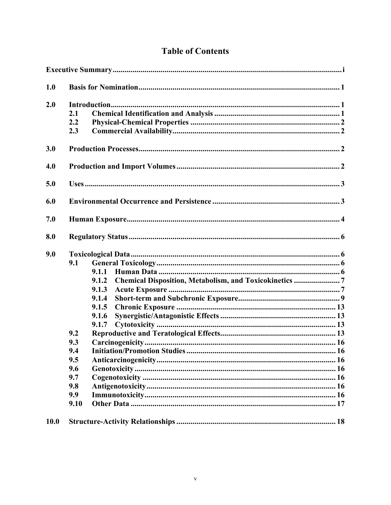| 1.0                                                                                       |                                                             |  |  |  |  |
|-------------------------------------------------------------------------------------------|-------------------------------------------------------------|--|--|--|--|
| 2.0<br>2.1<br>2.2<br>2.3                                                                  |                                                             |  |  |  |  |
| 3.0                                                                                       |                                                             |  |  |  |  |
| 4.0                                                                                       |                                                             |  |  |  |  |
| 5.0                                                                                       |                                                             |  |  |  |  |
| 6.0                                                                                       |                                                             |  |  |  |  |
| 7.0                                                                                       |                                                             |  |  |  |  |
| 8.0                                                                                       |                                                             |  |  |  |  |
| 9.0<br>9.1<br>9.2<br>9.3<br>9.4<br>9.5<br>9.6<br>9.7<br>9.8<br>9.9<br>9.10<br><b>10.0</b> | 9.1.1<br>9.1.2<br>9.1.3<br>9.1.4<br>9.1.5<br>9.1.6<br>9.1.7 |  |  |  |  |

## **Table of Contents**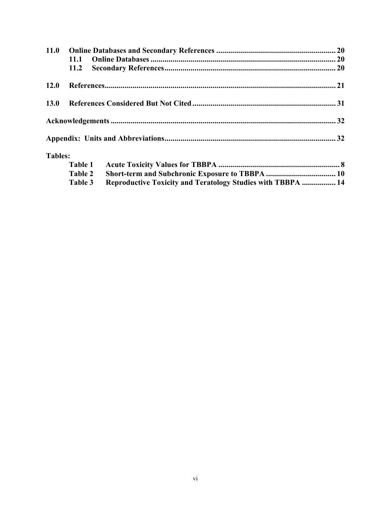| 11.0           |         |                                                                    |  |
|----------------|---------|--------------------------------------------------------------------|--|
|                | 11.1    |                                                                    |  |
|                | 11.2    |                                                                    |  |
| 12.0           |         |                                                                    |  |
| <b>13.0</b>    |         |                                                                    |  |
|                |         |                                                                    |  |
|                |         |                                                                    |  |
| <b>Tables:</b> |         |                                                                    |  |
|                | Table 1 |                                                                    |  |
|                | Table 2 |                                                                    |  |
|                | Table 3 | <b>Reproductive Toxicity and Teratology Studies with TBBPA  14</b> |  |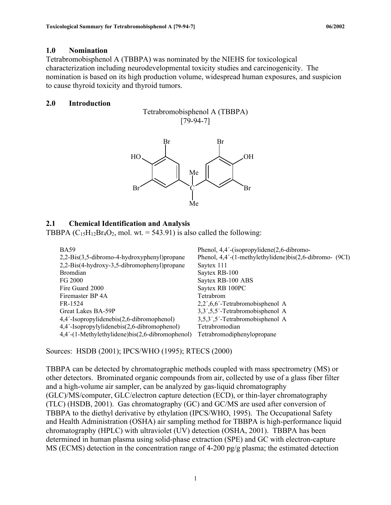#### **1.0 Nomination**

Tetrabromobisphenol A (TBBPA) was nominated by the NIEHS for toxicological characterization including neurodevelopmental toxicity studies and carcinogenicity. The nomination is based on its high production volume, widespread human exposures, and suspicion to cause thyroid toxicity and thyroid tumors.

#### **2.0 Introduction**





#### **2.1 Chemical Identification and Analysis**

TBBPA  $(C_{15}H_{12}Br_4O_2$ , mol. wt. = 543.91) is also called the following:

| <b>BA59</b>                                     | Phenol, $4,4'$ -(isopropylidene $(2,6$ -dibromo-        |
|-------------------------------------------------|---------------------------------------------------------|
| 2,2-Bis(3,5-dibromo-4-hydroxyphenyl) propane    | Phenol, 4,4'-(1-methylethylidene)bis(2,6-dibromo- (9CI) |
| 2,2-Bis(4-hydroxy-3,5-dibromophenyl) propane    | Saytex 111                                              |
| <b>Bromdian</b>                                 | Saytex RB-100                                           |
| FG 2000                                         | Saytex RB-100 ABS                                       |
| Fire Guard 2000                                 | Saytex RB 100PC                                         |
| Firemaster BP 4A                                | Tetrabrom                                               |
| FR-1524                                         | 2,2',6,6'-Tetrabromobisphenol A                         |
| Great Lakes BA-59P                              | 3,3',5,5'-Tetrabromobisphenol A                         |
| 4,4'-Isopropylidenebis(2,6-dibromophenol)       | 3,5,3',5'-Tetrabromobisphenol A                         |
| 4,4'-Isopropylylidenebis(2,6-dibromophenol)     | Tetrabromodian                                          |
| 4,4'-(1-Methylethylidene)bis(2,6-dibromophenol) | Tetrabromodiphenylopropane                              |

Sources: HSDB (2001); IPCS/WHO (1995); RTECS (2000)

TBBPA can be detected by chromatographic methods coupled with mass spectrometry (MS) or other detectors. Brominated organic compounds from air, collected by use of a glass fiber filter and a high-volume air sampler, can be analyzed by gas-liquid chromatography (GLC)/MS/computer, GLC/electron capture detection (ECD), or thin-layer chromatography (TLC) (HSDB, 2001). Gas chromatography (GC) and GC/MS are used after conversion of TBBPA to the diethyl derivative by ethylation (IPCS/WHO, 1995). The Occupational Safety and Health Administration (OSHA) air sampling method for TBBPA is high-performance liquid chromatography (HPLC) with ultraviolet (UV) detection (OSHA, 2001). TBBPA has been determined in human plasma using solid-phase extraction (SPE) and GC with electron-capture MS (ECMS) detection in the concentration range of 4-200 pg/g plasma; the estimated detection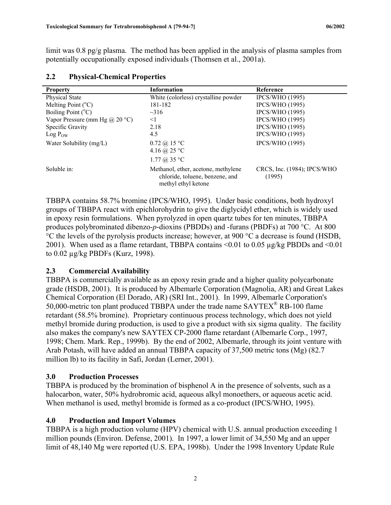<span id="page-9-0"></span>limit was 0.8 pg/g plasma. The method has been applied in the analysis of plasma samples from potentially occupationally exposed individuals (Thomsen et al., 2001a).

| <b>Property</b>                       | <b>Information</b>                                                                            | Reference                             |
|---------------------------------------|-----------------------------------------------------------------------------------------------|---------------------------------------|
| Physical State                        | White (colorless) crystalline powder                                                          | <b>IPCS/WHO</b> (1995)                |
| Melting Point $(^{\circ}C)$           | 181-182                                                                                       | <b>IPCS/WHO</b> (1995)                |
| Boiling Point $(^{\circ}C)$           | $\sim$ 316                                                                                    | <b>IPCS/WHO</b> (1995)                |
| Vapor Pressure (mm Hg $\omega$ 20 °C) | $\leq$ 1                                                                                      | <b>IPCS/WHO</b> (1995)                |
| Specific Gravity                      | 2.18                                                                                          | <b>IPCS/WHO</b> (1995)                |
| $Log P_{OW}$                          | 4.5                                                                                           | <b>IPCS/WHO</b> (1995)                |
| Water Solubility (mg/L)               | $0.72 \; (\partial)$ 15 °C<br>4.16 @ 25 °C                                                    | <b>IPCS/WHO</b> (1995)                |
|                                       | 1.77 @ $35 °C$                                                                                |                                       |
| Soluble in:                           | Methanol, ether, acetone, methylene<br>chloride, toluene, benzene, and<br>methyl ethyl ketone | CRCS, Inc. (1984); IPCS/WHO<br>(1995) |

### **2.2 Physical-Chemical Properties**

TBBPA contains 58.7% bromine (IPCS/WHO, 1995). Under basic conditions, both hydroxyl groups of TBBPA react with epichlorohydrin to give the diglycidyl ether, which is widely used in epoxy resin formulations. When pyrolyzed in open quartz tubes for ten minutes, TBBPA produces polybrominated dibenzo-*p*-dioxins (PBDDs) and -furans (PBDFs) at 700 °C. At 800 °C the levels of the pyrolysis products increase; however, at 900 °C a decrease is found (HSDB, 2001). When used as a flame retardant, TBBPA contains <0.01 to 0.05 µg/kg PBDDs and <0.01 to 0.02 µg/kg PBDFs (Kurz, 1998).

#### **2.3 Commercial Availability**

TBBPA is commercially available as an epoxy resin grade and a higher quality polycarbonate grade (HSDB, 2001). It is produced by Albemarle Corporation (Magnolia, AR) and Great Lakes Chemical Corporation (El Dorado, AR) (SRI Int., 2001). In 1999, Albemarle Corporation's 50,000-metric ton plant produced TBBPA under the trade name SAYTEX® RB-100 flame retardant (58.5% bromine). Proprietary continuous process technology, which does not yield methyl bromide during production, is used to give a product with six sigma quality. The facility also makes the company's new SAYTEX CP-2000 flame retardant (Albemarle Corp., 1997, 1998; Chem. Mark. Rep., 1999b). By the end of 2002, Albemarle, through its joint venture with Arab Potash, will have added an annual TBBPA capacity of 37,500 metric tons (Mg) (82.7 million lb) to its facility in Safi, Jordan (Lerner, 2001).

## **3.0 Production Processes**

TBBPA is produced by the bromination of bisphenol A in the presence of solvents, such as a halocarbon, water, 50% hydrobromic acid, aqueous alkyl monoethers, or aqueous acetic acid. When methanol is used, methyl bromide is formed as a co-product (IPCS/WHO, 1995).

#### **4.0 Production and Import Volumes**

TBBPA is a high production volume (HPV) chemical with U.S. annual production exceeding 1 million pounds (Environ. Defense, 2001). In 1997, a lower limit of 34,550 Mg and an upper limit of 48,140 Mg were reported (U.S. EPA, 1998b). Under the 1998 Inventory Update Rule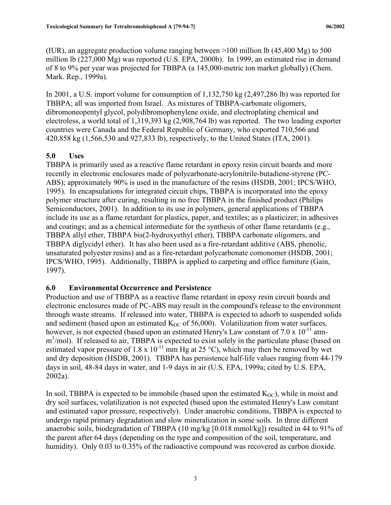<span id="page-10-0"></span>(IUR), an aggregate production volume ranging between  $>100$  million lb (45,400 Mg) to 500 million lb (227,000 Mg) was reported (U.S. EPA, 2000b). In 1999, an estimated rise in demand of 8 to 9% per year was projected for TBBPA (a 145,000-metric ton market globally) (Chem. Mark. Rep., 1999a).

In 2001, a U.S. import volume for consumption of 1,132,750 kg (2,497,286 lb) was reported for TBBPA; all was imported from Israel. As mixtures of TBBPA-carbonate oligomers, dibromoneopentyl glycol, polydibromophenylene oxide, and electroplating chemical and electroless, a world total of 1,319,393 kg (2,908,764 lb) was reported. The two leading exporter countries were Canada and the Federal Republic of Germany, who exported 710,566 and 420,858 kg (1,566,530 and 927,833 lb), respectively, to the United States (ITA, 2001).

## **5.0 Uses**

TBBPA is primarily used as a reactive flame retardant in epoxy resin circuit boards and more recently in electronic enclosures made of polycarbonate-acrylonitrile-butadiene-styrene (PC-ABS); approximately 90% is used in the manufacture of the resins (HSDB, 2001; IPCS/WHO, 1995). In encapsulations for integrated circuit chips, TBBPA is incorporated into the epoxy polymer structure after curing, resulting in no free TBBPA in the finished product (Philips Semiconductors, 2001). In addition to its use in polymers, general applications of TBBPA include its use as a flame retardant for plastics, paper, and textiles; as a plasticizer; in adhesives and coatings; and as a chemical intermediate for the synthesis of other flame retardants (e.g., TBBPA allyl ether, TBBPA bis(2-hydroxyethyl ether), TBBPA carbonate oligomers, and TBBPA diglycidyl ether). It has also been used as a fire-retardant additive (ABS, phenolic, unsaturated polyester resins) and as a fire-retardant polycarbonate comonomer (HSDB, 2001; IPCS/WHO, 1995). Additionally, TBBPA is applied to carpeting and office furniture (Gain, 1997).

#### **6.0 Environmental Occurrence and Persistence**

Production and use of TBBPA as a reactive flame retardant in epoxy resin circuit boards and electronic enclosures made of PC-ABS may result in the compound's release to the environment through waste streams. If released into water, TBBPA is expected to adsorb to suspended solids and sediment (based upon an estimated  $K_{OC}$  of 56,000). Volatilization from water surfaces, however, is not expected (based upon an estimated Henry's Law constant of  $7.0 \times 10^{-11}$  atmm<sup>3</sup>/mol). If released to air, TBBPA is expected to exist solely in the particulate phase (based on estimated vapor pressure of 1.8 x  $10^{-11}$  mm Hg at 25 °C), which may then be removed by wet and dry deposition (HSDB, 2001). TBBPA has persistence half-life values ranging from 44-179 days in soil, 48-84 days in water, and 1-9 days in air (U.S. EPA, 1999a; cited by U.S. EPA, 2002a).

In soil, TBBPA is expected to be immobile (based upon the estimated  $K_{\text{OC}}$ ), while in moist and dry soil surfaces, volatilization is not expected (based upon the estimated Henry's Law constant and estimated vapor pressure, respectively). Under anaerobic conditions, TBBPA is expected to undergo rapid primary degradation and slow mineralization in some soils. In three different anaerobic soils, biodegradation of TBBPA (10 mg/kg [0.018 mmol/kg]) resulted in 44 to 91% of the parent after 64 days (depending on the type and composition of the soil, temperature, and humidity). Only 0.03 to 0.35% of the radioactive compound was recovered as carbon dioxide.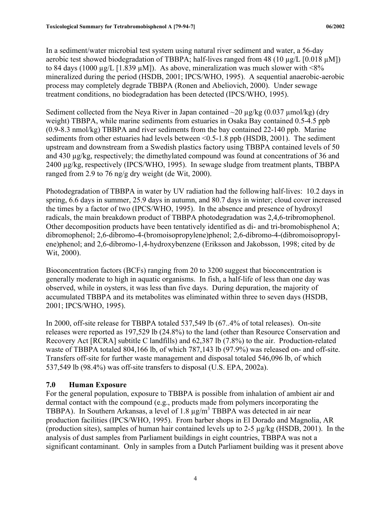<span id="page-11-0"></span>In a sediment/water microbial test system using natural river sediment and water, a 56-day aerobic test showed biodegradation of TBBPA; half-lives ranged from 48 (10  $\mu$ g/L [0.018  $\mu$ M]) to 84 days (1000  $\mu$ g/L [1.839  $\mu$ M]). As above, mineralization was much slower with <8% mineralized during the period (HSDB, 2001; IPCS/WHO, 1995). A sequential anaerobic-aerobic process may completely degrade TBBPA (Ronen and Abeliovich, 2000). Under sewage treatment conditions, no biodegradation has been detected (IPCS/WHO, 1995).

Sediment collected from the Neya River in Japan contained  $\sim$ 20  $\mu$ g/kg (0.037  $\mu$ mol/kg) (dry weight) TBBPA, while marine sediments from estuaries in Osaka Bay contained 0.5-4.5 ppb (0.9-8.3 nmol/kg) TBBPA and river sediments from the bay contained 22-140 ppb. Marine sediments from other estuaries had levels between <0.5-1.8 ppb (HSDB, 2001). The sediment upstream and downstream from a Swedish plastics factory using TBBPA contained levels of 50 and 430 µg/kg, respectively; the dimethylated compound was found at concentrations of 36 and 2400 µg/kg, respectively (IPCS/WHO, 1995). In sewage sludge from treatment plants, TBBPA ranged from 2.9 to 76 ng/g dry weight (de Wit, 2000).

Photodegradation of TBBPA in water by UV radiation had the following half-lives: 10.2 days in spring, 6.6 days in summer, 25.9 days in autumn, and 80.7 days in winter; cloud cover increased the times by a factor of two (IPCS/WHO, 1995). In the absence and presence of hydroxyl radicals, the main breakdown product of TBBPA photodegradation was 2,4,6-tribromophenol. Other decomposition products have been tentatively identified as di- and tri-bromobisphenol A; dibromophenol; 2,6-dibromo-4-(bromoisopropylene)phenol; 2,6-dibromo-4-(dibromoisopropylene)phenol; and 2,6-dibromo-1,4-hydroxybenzene (Eriksson and Jakobsson, 1998; cited by de Wit, 2000).

Bioconcentration factors (BCFs) ranging from 20 to 3200 suggest that bioconcentration is generally moderate to high in aquatic organisms. In fish, a half-life of less than one day was observed, while in oysters, it was less than five days. During depuration, the majority of accumulated TBBPA and its metabolites was eliminated within three to seven days (HSDB, 2001; IPCS/WHO, 1995).

In 2000, off-site release for TBBPA totaled 537,549 lb (67..4% of total releases). On-site releases were reported as 197,529 lb (24.8%) to the land (other than Resource Conservation and Recovery Act [RCRA] subtitle C landfills) and 62,387 lb (7.8%) to the air. Production-related waste of TBBPA totaled 804,166 lb, of which 787,143 lb (97.9%) was released on- and off-site. Transfers off-site for further waste management and disposal totaled 546,096 lb, of which 537,549 lb (98.4%) was off-site transfers to disposal (U.S. EPA, 2002a).

## **7.0 Human Exposure**

For the general population, exposure to TBBPA is possible from inhalation of ambient air and dermal contact with the compound (e.g., products made from polymers incorporating the TBBPA). In Southern Arkansas, a level of 1.8 µg/m<sup>3</sup> TBBPA was detected in air near production facilities (IPCS/WHO, 1995). From barber shops in El Dorado and Magnolia, AR (production sites), samples of human hair contained levels up to 2-5 µg/kg (HSDB, 2001). In the analysis of dust samples from Parliament buildings in eight countries, TBBPA was not a significant contaminant. Only in samples from a Dutch Parliament building was it present above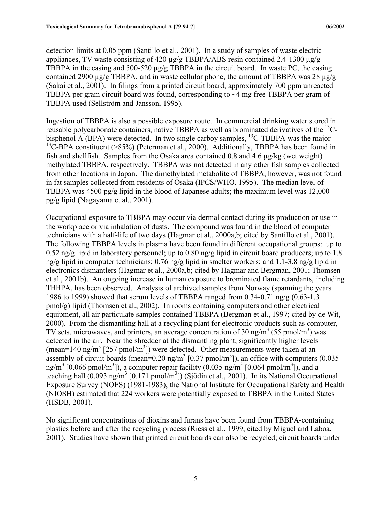detection limits at 0.05 ppm (Santillo et al., 2001). In a study of samples of waste electric appliances, TV waste consisting of 420 µg/g TBBPA/ABS resin contained 2.4-1300 µg/g TBBPA in the casing and 500-520  $\mu$ g/g TBBPA in the circuit board. In waste PC, the casing contained 2900  $\mu$ g/g TBBPA, and in waste cellular phone, the amount of TBBPA was 28  $\mu$ g/g (Sakai et al., 2001). In filings from a printed circuit board, approximately 700 ppm unreacted TBBPA per gram circuit board was found, corresponding to ~4 mg free TBBPA per gram of TBBPA used (Sellström and Jansson, 1995).

Ingestion of TBBPA is also a possible exposure route. In commercial drinking water stored in reusable polycarbonate containers, native TBBPA as well as brominated derivatives of the 13Cbisphenol A (BPA) were detected. In two single carboy samples, <sup>13</sup>C-TBBPA was the major <sup>13</sup>C-BPA constituent ( $>85\%$ ) (Peterman et al., 2000). Additionally, TBBPA has been found in fish and shellfish. Samples from the Osaka area contained 0.8 and 4.6  $\mu$ g/kg (wet weight) methylated TBBPA, respectively. TBBPA was not detected in any other fish samples collected from other locations in Japan. The dimethylated metabolite of TBBPA, however, was not found in fat samples collected from residents of Osaka (IPCS/WHO, 1995). The median level of TBBPA was  $4500 \text{ pg/g}$  lipid in the blood of Japanese adults; the maximum level was 12,000 pg/g lipid (Nagayama et al., 2001).

Occupational exposure to TBBPA may occur via dermal contact during its production or use in the workplace or via inhalation of dusts. The compound was found in the blood of computer technicians with a half-life of two days (Hagmar et al., 2000a,b; cited by Santillo et al., 2001). The following TBBPA levels in plasma have been found in different occupational groups: up to 0.52 ng/g lipid in laboratory personnel; up to 0.80 ng/g lipid in circuit board producers; up to 1.8 ng/g lipid in computer technicians; 0.76 ng/g lipid in smelter workers; and 1.1-3.8 ng/g lipid in electronics dismantlers (Hagmar et al., 2000a,b; cited by Hagmar and Bergman, 2001; Thomsen et al., 2001b). An ongoing increase in human exposure to brominated flame retardants, including TBBPA, has been observed. Analysis of archived samples from Norway (spanning the years 1986 to 1999) showed that serum levels of TBBPA ranged from  $0.34$ - $0.71$  ng/g  $(0.63$ - $1.3$ pmol/g) lipid (Thomsen et al., 2002). In rooms containing computers and other electrical equipment, all air particulate samples contained TBBPA (Bergman et al., 1997; cited by de Wit, 2000). From the dismantling hall at a recycling plant for electronic products such as computer, TV sets, microwaves, and printers, an average concentration of 30 ng/m<sup>3</sup> (55 pmol/m<sup>3</sup>) was detected in the air. Near the shredder at the dismantling plant, significantly higher levels  $(\text{mean}=140 \text{ ng/m}^3 \text{ [257 pmol/m}^3))$  were detected. Other measurements were taken at an assembly of circuit boards (mean= $0.20$  ng/m<sup>3</sup> [0.37 pmol/m<sup>3</sup>]), an office with computers (0.035 ng/m<sup>3</sup> [0.066 pmol/m<sup>3</sup>]), a computer repair facility (0.035 ng/m<sup>3</sup> [0.064 pmol/m<sup>3</sup>]), and a teaching hall  $(0.093 \text{ ng/m}^3 \cdot [0.171 \text{ pmol/m}^3])$  (Sjödin et al., 2001). In its National Occupational Exposure Survey (NOES) (1981-1983), the National Institute for Occupational Safety and Health (NIOSH) estimated that 224 workers were potentially exposed to TBBPA in the United States (HSDB, 2001).

No significant concentrations of dioxins and furans have been found from TBBPA-containing plastics before and after the recycling process (Riess et al., 1999; cited by Miguel and Laboa, 2001). Studies have shown that printed circuit boards can also be recycled; circuit boards under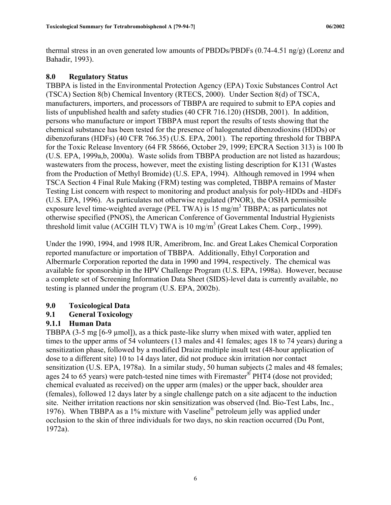<span id="page-13-0"></span>thermal stress in an oven generated low amounts of PBDDs/PBDFs (0.74-4.51 ng/g) (Lorenz and Bahadir, 1993).

### **8.0 Regulatory Status**

TBBPA is listed in the Environmental Protection Agency (EPA) Toxic Substances Control Act (TSCA) Section 8(b) Chemical Inventory (RTECS, 2000). Under Section 8(d) of TSCA, manufacturers, importers, and processors of TBBPA are required to submit to EPA copies and lists of unpublished health and safety studies (40 CFR 716.120) (HSDB, 2001). In addition, persons who manufacture or import TBBPA must report the results of tests showing that the chemical substance has been tested for the presence of halogenated dibenzodioxins (HDDs) or dibenzofurans (HDFs) (40 CFR 766.35) (U.S. EPA, 2001). The reporting threshold for TBBPA for the Toxic Release Inventory (64 FR 58666, October 29, 1999; EPCRA Section 313) is 100 lb (U.S. EPA, 1999a,b, 2000a). Waste solids from TBBPA production are not listed as hazardous; wastewaters from the process, however, meet the existing listing description for K131 (Wastes from the Production of Methyl Bromide) (U.S. EPA, 1994). Although removed in 1994 when TSCA Section 4 Final Rule Making (FRM) testing was completed, TBBPA remains of Master Testing List concern with respect to monitoring and product analysis for poly-HDDs and -HDFs (U.S. EPA, 1996). As particulates not otherwise regulated (PNOR), the OSHA permissible exposure level time-weighted average (PEL TWA) is  $15 \text{ mg/m}^3$  TBBPA; as particulates not otherwise specified (PNOS), the American Conference of Governmental Industrial Hygienists threshold limit value (ACGIH TLV) TWA is  $10 \text{ mg/m}^3$  (Great Lakes Chem. Corp., 1999).

Under the 1990, 1994, and 1998 IUR, Ameribrom, Inc. and Great Lakes Chemical Corporation reported manufacture or importation of TBBPA. Additionally, Ethyl Corporation and Albermarle Corporation reported the data in 1990 and 1994, respectively. The chemical was available for sponsorship in the HPV Challenge Program (U.S. EPA, 1998a). However, because a complete set of Screening Information Data Sheet (SIDS)-level data is currently available, no testing is planned under the program (U.S. EPA, 2002b).

## **9.0 Toxicological Data**

## **9.1 General Toxicology**

## **9.1.1 Human Data**

TBBPA (3-5 mg [6-9 µmol]), as a thick paste-like slurry when mixed with water, applied ten times to the upper arms of 54 volunteers (13 males and 41 females; ages 18 to 74 years) during a sensitization phase, followed by a modified Draize multiple insult test (48-hour application of dose to a different site) 10 to 14 days later, did not produce skin irritation nor contact sensitization (U.S. EPA, 1978a). In a similar study, 50 human subjects (2 males and 48 females; ages 24 to 65 years) were patch-tested nine times with Firemaster® PHT4 (dose not provided; chemical evaluated as received) on the upper arm (males) or the upper back, shoulder area (females), followed 12 days later by a single challenge patch on a site adjacent to the induction site. Neither irritation reactions nor skin sensitization was observed (Ind. Bio-Test Labs, Inc., 1976). When TBBPA as a 1% mixture with Vaseline® petroleum jelly was applied under occlusion to the skin of three individuals for two days, no skin reaction occurred (Du Pont, 1972a).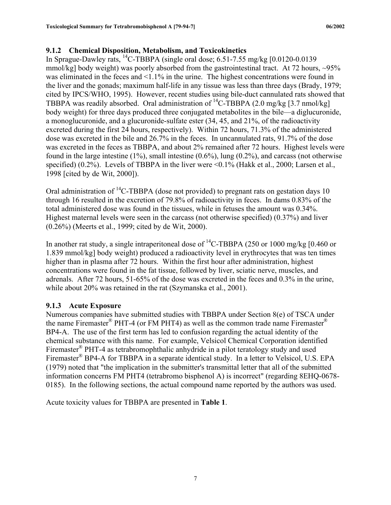## <span id="page-14-0"></span>**9.1.2 Chemical Disposition, Metabolism, and Toxicokinetics**

In Sprague-Dawley rats,  $^{14}$ C-TBBPA (single oral dose; 6.51-7.55 mg/kg [0.0120-0.0139] mmol/kg] body weight) was poorly absorbed from the gastrointestinal tract. At 72 hours,  $\sim 95\%$ was eliminated in the feces and <1.1% in the urine. The highest concentrations were found in the liver and the gonads; maximum half-life in any tissue was less than three days (Brady, 1979; cited by IPCS/WHO, 1995). However, recent studies using bile-duct cannulated rats showed that TBBPA was readily absorbed. Oral administration of <sup>14</sup>C-TBBPA (2.0 mg/kg [3.7 nmol/kg] body weight) for three days produced three conjugated metabolites in the bile—a diglucuronide, a monoglucuronide, and a glucuronide-sulfate ester (34, 45, and 21%, of the radioactivity excreted during the first 24 hours, respectively). Within 72 hours, 71.3% of the administered dose was excreted in the bile and 26.7% in the feces. In uncannulated rats, 91.7% of the dose was excreted in the feces as TBBPA, and about 2% remained after 72 hours. Highest levels were found in the large intestine  $(1\%)$ , small intestine  $(0.6\%)$ , lung  $(0.2\%)$ , and carcass (not otherwise specified) (0.2%). Levels of TBBPA in the liver were  $\leq 0.1\%$  (Hakk et al., 2000; Larsen et al., 1998 [cited by de Wit, 2000]).

Oral administration of  ${}^{14}$ C-TBBPA (dose not provided) to pregnant rats on gestation days 10 through 16 resulted in the excretion of 79.8% of radioactivity in feces. In dams 0.83% of the total administered dose was found in the tissues, while in fetuses the amount was 0.34%. Highest maternal levels were seen in the carcass (not otherwise specified) (0.37%) and liver (0.26%) (Meerts et al., 1999; cited by de Wit, 2000).

In another rat study, a single intraperitoneal dose of <sup>14</sup>C-TBBPA (250 or 1000 mg/kg [0.460 or 1.839 mmol/kg] body weight) produced a radioactivity level in erythrocytes that was ten times higher than in plasma after 72 hours. Within the first hour after administration, highest concentrations were found in the fat tissue, followed by liver, sciatic nerve, muscles, and adrenals. After 72 hours, 51-65% of the dose was excreted in the feces and 0.3% in the urine, while about 20% was retained in the rat (Szymanska et al., 2001).

#### **9.1.3 Acute Exposure**

Numerous companies have submitted studies with TBBPA under Section 8(e) of TSCA under the name Firemaster<sup>®</sup> PHT-4 (or FM PHT4) as well as the common trade name Firemaster<sup>®</sup> BP4-A. The use of the first term has led to confusion regarding the actual identity of the chemical substance with this name. For example, Velsicol Chemical Corporation identified Firemaster<sup>®</sup> PHT-4 as tetrabromophthalic anhydride in a pilot teratology study and used Firemaster<sup>®</sup> BP4-A for TBBPA in a separate identical study. In a letter to Velsicol, U.S. EPA (1979) noted that "the implication in the submitter's transmittal letter that all of the submitted information concerns FM PHT4 (tetrabromo bisphenol A) is incorrect" (regarding 8EHQ-0678- 0185). In the following sections, the actual compound name reported by the authors was used.

Acute toxicity values for TBBPA are presented in **Table 1**.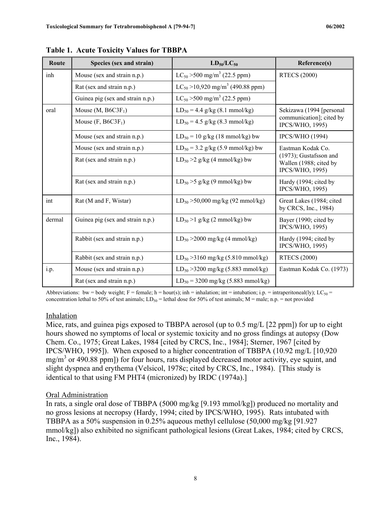| Route  | Species (sex and strain)         | $LD_{50}/LC_{50}$                                 | Reference(s)                                                           |
|--------|----------------------------------|---------------------------------------------------|------------------------------------------------------------------------|
| inh    | Mouse (sex and strain n.p.)      | $LC_{50}$ > 500 mg/m <sup>3</sup> (22.5 ppm)      | <b>RTECS (2000)</b>                                                    |
|        | Rat (sex and strain n.p.)        | $LC_{50} > 10,920$ mg/m <sup>3</sup> (490.88 ppm) |                                                                        |
|        | Guinea pig (sex and strain n.p.) | $LC_{50}$ > 500 mg/m <sup>3</sup> (22.5 ppm)      |                                                                        |
| oral   | Mouse $(M, B6C3F_1)$             | $LD_{50} = 4.4$ g/kg (8.1 mmol/kg)                | Sekizawa (1994 [personal                                               |
|        | Mouse $(F, B6C3F_1)$             | $LD_{50} = 4.5$ g/kg (8.3 mmol/kg)                | communication]; cited by<br>IPCS/WHO, 1995)                            |
|        | Mouse (sex and strain n.p.)      | $LD_{50} = 10$ g/kg (18 mmol/kg) bw               | <b>IPCS/WHO</b> (1994)                                                 |
|        | Mouse (sex and strain n.p.)      | $LD_{50} = 3.2$ g/kg (5.9 mmol/kg) bw             | Eastman Kodak Co.                                                      |
|        | Rat (sex and strain n.p.)        | $LD_{50} > 2$ g/kg (4 mmol/kg) bw                 | $(1973)$ ; Gustafsson and<br>Wallen (1988; cited by<br>IPCS/WHO, 1995) |
|        | Rat (sex and strain n.p.)        | $LD_{50} > 5$ g/kg (9 mmol/kg) bw                 | Hardy (1994; cited by<br>IPCS/WHO, 1995)                               |
| int    | Rat (M and F, Wistar)            | $LD_{50} > 50,000$ mg/kg (92 mmol/kg)             | Great Lakes (1984; cited<br>by CRCS, Inc., 1984)                       |
| dermal | Guinea pig (sex and strain n.p.) | $LD_{50} > 1$ g/kg (2 mmol/kg) bw                 | Bayer (1990; cited by<br>IPCS/WHO, 1995)                               |
|        | Rabbit (sex and strain n.p.)     | $LD_{50} > 2000$ mg/kg (4 mmol/kg)                | Hardy (1994; cited by<br>IPCS/WHO, 1995)                               |
|        | Rabbit (sex and strain n.p.)     | $LD_{50} > 3160$ mg/kg (5.810 mmol/kg)            | <b>RTECS (2000)</b>                                                    |
| i.p.   | Mouse (sex and strain n.p.)      | $LD_{50} > 3200$ mg/kg (5.883 mmol/kg)            | Eastman Kodak Co. (1973)                                               |
|        | Rat (sex and strain n.p.)        | $LD_{50} = 3200$ mg/kg (5.883 mmol/kg)            |                                                                        |

**Table 1. Acute Toxicity Values for TBBPA** 

Abbreviations: bw = body weight; F = female; h = hour(s); inh = inhalation; int = intubation; i.p. = intraperitoneal(ly); LC<sub>50</sub> = concentration lethal to 50% of test animals;  $LD_{50}$  = lethal dose for 50% of test animals; M = male; n.p. = not provided

#### Inhalation

Mice, rats, and guinea pigs exposed to TBBPA aerosol (up to 0.5 mg/L [22 ppm]) for up to eight hours showed no symptoms of local or systemic toxicity and no gross findings at autopsy (Dow Chem. Co., 1975; Great Lakes, 1984 [cited by CRCS, Inc., 1984]; Sterner, 1967 [cited by IPCS/WHO, 1995]). When exposed to a higher concentration of TBBPA (10.92 mg/L [10,920 mg/m<sup>3</sup> or 490.88 ppm]) for four hours, rats displayed decreased motor activity, eye squint, and slight dyspnea and erythema (Velsicol, 1978c; cited by CRCS, Inc., 1984). [This study is identical to that using FM PHT4 (micronized) by IRDC (1974a).]

#### Oral Administration

In rats, a single oral dose of TBBPA (5000 mg/kg [9.193 mmol/kg]) produced no mortality and no gross lesions at necropsy (Hardy, 1994; cited by IPCS/WHO, 1995). Rats intubated with TBBPA as a 50% suspension in 0.25% aqueous methyl cellulose (50,000 mg/kg [91.927 mmol/kg]) also exhibited no significant pathological lesions (Great Lakes, 1984; cited by CRCS, Inc., 1984).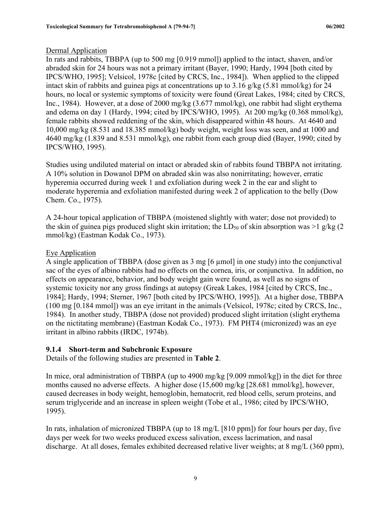## <span id="page-16-0"></span>Dermal Application

In rats and rabbits, TBBPA (up to 500 mg [0.919 mmol]) applied to the intact, shaven, and/or abraded skin for 24 hours was not a primary irritant (Bayer, 1990; Hardy, 1994 [both cited by IPCS/WHO, 1995]; Velsicol, 1978c [cited by CRCS, Inc., 1984]). When applied to the clipped intact skin of rabbits and guinea pigs at concentrations up to 3.16 g/kg (5.81 mmol/kg) for 24 hours, no local or systemic symptoms of toxicity were found (Great Lakes, 1984; cited by CRCS, Inc., 1984). However, at a dose of 2000 mg/kg (3.677 mmol/kg), one rabbit had slight erythema and edema on day 1 (Hardy, 1994; cited by IPCS/WHO, 1995). At 200 mg/kg (0.368 mmol/kg), female rabbits showed reddening of the skin, which disappeared within 48 hours. At 4640 and 10,000 mg/kg (8.531 and 18.385 mmol/kg) body weight, weight loss was seen, and at 1000 and 4640 mg/kg (1.839 and 8.531 mmol/kg), one rabbit from each group died (Bayer, 1990; cited by IPCS/WHO, 1995).

Studies using undiluted material on intact or abraded skin of rabbits found TBBPA not irritating. A 10% solution in Dowanol DPM on abraded skin was also nonirritating; however, erratic hyperemia occurred during week 1 and exfoliation during week 2 in the ear and slight to moderate hyperemia and exfoliation manifested during week 2 of application to the belly (Dow Chem. Co., 1975).

A 24-hour topical application of TBBPA (moistened slightly with water; dose not provided) to the skin of guinea pigs produced slight skin irritation; the  $LD_{50}$  of skin absorption was  $>1$  g/kg (2) mmol/kg) (Eastman Kodak Co., 1973).

## Eye Application

A single application of TBBPA (dose given as 3 mg [6 µmol] in one study) into the conjunctival sac of the eyes of albino rabbits had no effects on the cornea, iris, or conjunctiva. In addition, no effects on appearance, behavior, and body weight gain were found, as well as no signs of systemic toxicity nor any gross findings at autopsy (Greak Lakes, 1984 [cited by CRCS, Inc., 1984]; Hardy, 1994; Sterner, 1967 [both cited by IPCS/WHO, 1995]). At a higher dose, TBBPA (100 mg [0.184 mmol]) was an eye irritant in the animals (Velsicol, 1978c; cited by CRCS, Inc., 1984). In another study, TBBPA (dose not provided) produced slight irritation (slight erythema on the nictitating membrane) (Eastman Kodak Co., 1973). FM PHT4 (micronized) was an eye irritant in albino rabbits (IRDC, 1974b).

#### **9.1.4 Short-term and Subchronic Exposure**

Details of the following studies are presented in **Table 2**.

In mice, oral administration of TBBPA (up to 4900 mg/kg [9.009 mmol/kg]) in the diet for three months caused no adverse effects. A higher dose (15,600 mg/kg [28.681 mmol/kg], however, caused decreases in body weight, hemoglobin, hematocrit, red blood cells, serum proteins, and serum triglyceride and an increase in spleen weight (Tobe et al., 1986; cited by IPCS/WHO, 1995).

In rats, inhalation of micronized TBBPA (up to 18 mg/L [810 ppm]) for four hours per day, five days per week for two weeks produced excess salivation, excess lacrimation, and nasal discharge. At all doses, females exhibited decreased relative liver weights; at 8 mg/L (360 ppm),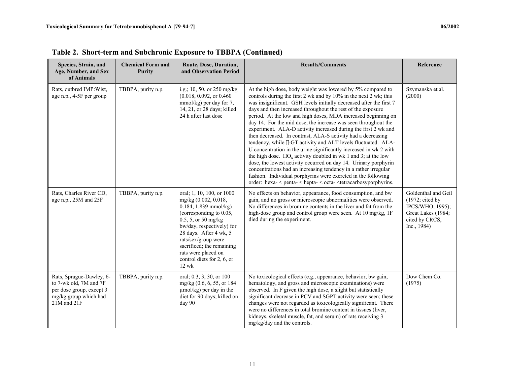| Species, Strain, and<br>Age, Number, and Sex<br>of Animals                                                             | <b>Chemical Form and</b><br>Purity | Route, Dose, Duration,<br>and Observation Period                                                                                                                                                                                                                                                          | <b>Results/Comments</b>                                                                                                                                                                                                                                                                                                                                                                                                                                                                                                                                                                                                                                                                                                                                                                                                                                                                                                                                                                                                         | Reference                                                                                                                    |
|------------------------------------------------------------------------------------------------------------------------|------------------------------------|-----------------------------------------------------------------------------------------------------------------------------------------------------------------------------------------------------------------------------------------------------------------------------------------------------------|---------------------------------------------------------------------------------------------------------------------------------------------------------------------------------------------------------------------------------------------------------------------------------------------------------------------------------------------------------------------------------------------------------------------------------------------------------------------------------------------------------------------------------------------------------------------------------------------------------------------------------------------------------------------------------------------------------------------------------------------------------------------------------------------------------------------------------------------------------------------------------------------------------------------------------------------------------------------------------------------------------------------------------|------------------------------------------------------------------------------------------------------------------------------|
| Rats, outbred IMP: Wist,<br>age n.p., 4-5F per group                                                                   | TBBPA, purity n.p.                 | i.g.; 10, 50, or 250 mg/kg<br>(0.018, 0.092, or 0.460)<br>mmol/kg) per day for 7,<br>14, 21, or 28 days; killed<br>24 h after last dose                                                                                                                                                                   | At the high dose, body weight was lowered by 5% compared to<br>controls during the first 2 wk and by 10% in the next 2 wk; this<br>was insignificant. GSH levels initially decreased after the first 7<br>days and then increased throughout the rest of the exposure<br>period. At the low and high doses, MDA increased beginning on<br>day 14. For the mid dose, the increase was seen throughout the<br>experiment. ALA-D activity increased during the first 2 wk and<br>then decreased. In contrast, ALA-S activity had a decreasing<br>tendency, while λ-GT activity and ALT levels fluctuated. ALA-<br>U concentration in the urine significantly increased in wk 2 with<br>the high dose. $HO_x$ activity doubled in wk 1 and 3; at the low<br>dose, the lowest activity occurred on day 14. Urinary porphyrin<br>concentrations had an increasing tendency in a rather irregular<br>fashion. Individual porphyrins were excreted in the following<br>order: hexa- < penta- < hepta- < octa- < tetracarbosyporphyrins. | Szymanska et al.<br>(2000)                                                                                                   |
| Rats, Charles River CD,<br>age n.p., 25M and 25F                                                                       | TBBPA, purity n.p.                 | oral; 1, 10, 100, or 1000<br>mg/kg (0.002, 0.018,<br>$0.184, 1.839$ mmol/kg)<br>(corresponding to 0.05,<br>0.5, 5, or 50 mg/kg<br>bw/day, respectively) for<br>28 days. After 4 wk, 5<br>rats/sex/group were<br>sacrificed; the remaining<br>rats were placed on<br>control diets for 2, 6, or<br>$12$ wk | No effects on behavior, appearance, food consumption, and bw<br>gain, and no gross or microscopic abnormalities were observed.<br>No differences in bromine contents in the liver and fat from the<br>high-dose group and control group were seen. At 10 mg/kg, 1F<br>died during the experiment.                                                                                                                                                                                                                                                                                                                                                                                                                                                                                                                                                                                                                                                                                                                               | Goldenthal and Geil<br>$(1972; \text{ cited by})$<br>IPCS/WHO, 1995);<br>Great Lakes (1984;<br>cited by CRCS,<br>Inc., 1984) |
| Rats, Sprague-Dawley, 6-<br>to 7-wk old, 7M and 7F<br>per dose group, except 3<br>mg/kg group which had<br>21M and 21F | TBBPA, purity n.p.                 | oral; 0.3, 3, 30, or 100<br>mg/kg (0.6, 6, 55, or 184)<br>$\mu$ mol/kg) per day in the<br>diet for 90 days; killed on<br>day 90                                                                                                                                                                           | No toxicological effects (e.g., appearance, behavior, bw gain,<br>hematology, and gross and microscopic examinations) were<br>observed. In F given the high dose, a slight but statistically<br>significant decrease in PCV and SGPT activity were seen; these<br>changes were not regarded as toxicologically significant. There<br>were no differences in total bromine content in tissues (liver,<br>kidneys, skeletal muscle, fat, and serum) of rats receiving 3<br>mg/kg/day and the controls.                                                                                                                                                                                                                                                                                                                                                                                                                                                                                                                            | Dow Chem Co.<br>(1975)                                                                                                       |

**Table 2. Short-term and Subchronic Exposure to TBBPA (Continued)**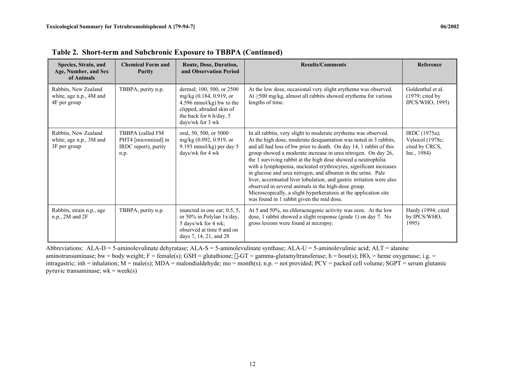| Species, Strain, and<br>Age, Number, and Sex<br>of Animals      | <b>Chemical Form and</b><br><b>Purity</b>                                | Route, Dose, Duration,<br>and Observation Period                                                                                                            | <b>Results/Comments</b>                                                                                                                                                                                                                                                                                                                                                                                                                                                                                                                                                                                                                                                                                                         | Reference                                                                 |
|-----------------------------------------------------------------|--------------------------------------------------------------------------|-------------------------------------------------------------------------------------------------------------------------------------------------------------|---------------------------------------------------------------------------------------------------------------------------------------------------------------------------------------------------------------------------------------------------------------------------------------------------------------------------------------------------------------------------------------------------------------------------------------------------------------------------------------------------------------------------------------------------------------------------------------------------------------------------------------------------------------------------------------------------------------------------------|---------------------------------------------------------------------------|
| Rabbits, New Zealand<br>white, age n.p., 4M and<br>4F per group | TBBPA, purity n.p.                                                       | dermal; 100, 500, or 2500<br>mg/kg (0.184, 0.919, or<br>4.596 mmol/kg) bw to the<br>clipped, abraded skin of<br>the back for 6 h/day, 5<br>days/wk for 3 wk | At the low dose, occasional very slight erythema was observed.<br>At $\geq$ 500 mg/kg, almost all rabbits showed erythema for various<br>lengths of time.                                                                                                                                                                                                                                                                                                                                                                                                                                                                                                                                                                       | Goldenthal et al.<br>$(1979; \text{ cited by})$<br><b>IPCS/WHO, 1995)</b> |
| Rabbits, New Zealand<br>white, age n.p., 3M and<br>3F per group | TBBPA (called FM<br>PHT4 [micronized] in<br>IRDC report), purity<br>n.p. | oral, 50, 500, or 5000<br>mg/kg $(0.092, 0.919,$ or<br>9.193 mmol/kg) per day 5<br>days/wk for 4 wk                                                         | In all rabbits, very slight to moderate erythema was observed.<br>At the high dose, moderate desquamation was noted in 3 rabbits,<br>and all had loss of bw prior to death. On day 14, 1 rabbit of this<br>group showed a moderate increase in urea nitrogen. On day 26,<br>the 1 surviving rabbit at the high dose showed a neutrophilia<br>with a lymphopenia, nucleated erythrocytes, significant increases<br>in glucose and urea nitrogen, and albumin in the urine. Pale<br>liver, accentuated liver lobulation, and gastric irritation were also<br>observed in several animals in the high-dose group.<br>Microscopically, a slight hyperkeratosis at the application site<br>was found in 1 rabbit given the mid dose. | IRDC (1975a);<br>Velsicol (1978c;<br>cited by CRCS,<br>Inc., 1984)        |
| Rabbits, strain n.p., age<br>$n.p., 2M$ and $2F$                | TBBPA, purity n.p.                                                       | inuncted in one ear; 0.5, 5,<br>or 50% in Polylan 1x/day,<br>5 days/wk for 4 wk;<br>observed at time 0 and on<br>days 7, 14, 21, and 28                     | At 5 and 50%, no chloracnegenic activity was seen. At the low<br>dose, 1 rabbit showed a slight response (grade 1) on day 7. No<br>gross lesions were found at necropsy.                                                                                                                                                                                                                                                                                                                                                                                                                                                                                                                                                        | Hardy (1994; cited<br>by IPCS/WHO,<br>1995)                               |

**Table 2. Short-term and Subchronic Exposure to TBBPA (Continued)** 

Abbreviations:  $ALA-D = 5$ -aminolevulinate dehyratase;  $ALA-S = 5$ -aminolevulinate synthase;  $ALA-U = 5$ -aminolevulinic acid;  $ALT =$ alanine aminotransaminase; bw = body weight; F = female(s); GSH = glutathione;  $\lambda$ -GT = gamma-glutamyltransferase; h = hour(s); HO<sub>x</sub> = heme oxygenase; i.g. = intragastric; inh = inhalation; M = male(s); MDA = malondialdehyde; mo = month(s); n.p. = not provided; PCV = packed cell volume; SGPT = serum glutamic pyruvic transaminase;  $wk = week(s)$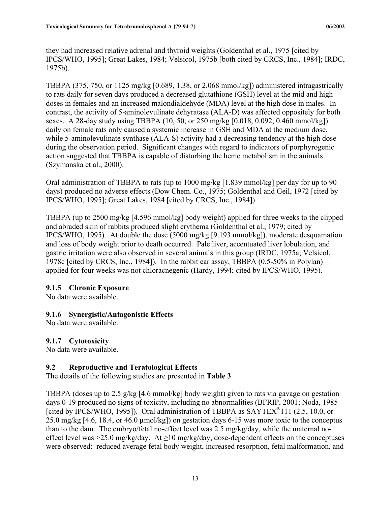<span id="page-19-0"></span>they had increased relative adrenal and thyroid weights (Goldenthal et al., 1975 [cited by IPCS/WHO, 1995]; Great Lakes, 1984; Velsicol, 1975b [both cited by CRCS, Inc., 1984]; IRDC, 1975b).

TBBPA (375, 750, or 1125 mg/kg [0.689, 1.38, or 2.068 mmol/kg]) administered intragastrically to rats daily for seven days produced a decreased glutathione (GSH) level at the mid and high doses in females and an increased malondialdehyde (MDA) level at the high dose in males. In contrast, the activity of 5-aminolevulinate dehyratase (ALA-D) was affected oppositely for both sexes. A 28-day study using TBBPA (10, 50, or 250 mg/kg [0.018, 0.092, 0.460 mmol/kg]) daily on female rats only caused a systemic increase in GSH and MDA at the medium dose, while 5-aminolevulinate synthase (ALA-S) activity had a decreasing tendency at the high dose during the observation period. Significant changes with regard to indicators of porphyrogenic action suggested that TBBPA is capable of disturbing the heme metabolism in the animals (Szymanska et al., 2000).

Oral administration of TBBPA to rats (up to 1000 mg/kg [1.839 mmol/kg] per day for up to 90 days) produced no adverse effects (Dow Chem. Co., 1975; Goldenthal and Geil, 1972 [cited by IPCS/WHO, 1995]; Great Lakes, 1984 [cited by CRCS, Inc., 1984]).

TBBPA (up to 2500 mg/kg [4.596 mmol/kg] body weight) applied for three weeks to the clipped and abraded skin of rabbits produced slight erythema (Goldenthal et al., 1979; cited by IPCS/WHO, 1995). At double the dose (5000 mg/kg [9.193 mmol/kg]), moderate desquamation and loss of body weight prior to death occurred. Pale liver, accentuated liver lobulation, and gastric irritation were also observed in several animals in this group (IRDC, 1975a; Velsicol, 1978c [cited by CRCS, Inc., 1984]). In the rabbit ear assay, TBBPA (0.5-50% in Polylan) applied for four weeks was not chloracnegenic (Hardy, 1994; cited by IPCS/WHO, 1995).

#### **9.1.5 Chronic Exposure**

No data were available.

#### **9.1.6 Synergistic/Antagonistic Effects**

No data were available.

#### **9.1.7 Cytotoxicity**

No data were available.

#### **9.2 Reproductive and Teratological Effects**

The details of the following studies are presented in **Table 3**.

TBBPA (doses up to 2.5 g/kg [4.6 mmol/kg] body weight) given to rats via gavage on gestation days 0-19 produced no signs of toxicity, including no abnormalities (BFRIP, 2001; Noda, 1985 [cited by IPCS/WHO, 1995]). Oral administration of TBBPA as  $SAYTEX^{\circledR}111$  (2.5, 10.0, or 25.0 mg/kg [4.6, 18.4, or 46.0 µmol/kg]) on gestation days 6-15 was more toxic to the conceptus than to the dam. The embryo/fetal no-effect level was 2.5 mg/kg/day, while the maternal noeffect level was >25.0 mg/kg/day. At  $\geq$ 10 mg/kg/day, dose-dependent effects on the conceptuses were observed: reduced average fetal body weight, increased resorption, fetal malformation, and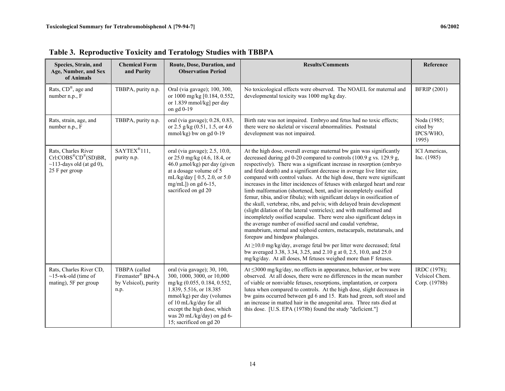| Species, Strain, and<br>Age, Number, and Sex<br>of Animals                                                         | <b>Chemical Form</b><br>and Purity                                 | Route, Dose, Duration, and<br><b>Observation Period</b>                                                                                                                                                                                                             | <b>Results/Comments</b>                                                                                                                                                                                                                                                                                                                                                                                                                                                                                                                                                                                                                                                                                                                                                                                                                                                                                                                                                                                                                                                                                                                                                                                                        | Reference                                       |
|--------------------------------------------------------------------------------------------------------------------|--------------------------------------------------------------------|---------------------------------------------------------------------------------------------------------------------------------------------------------------------------------------------------------------------------------------------------------------------|--------------------------------------------------------------------------------------------------------------------------------------------------------------------------------------------------------------------------------------------------------------------------------------------------------------------------------------------------------------------------------------------------------------------------------------------------------------------------------------------------------------------------------------------------------------------------------------------------------------------------------------------------------------------------------------------------------------------------------------------------------------------------------------------------------------------------------------------------------------------------------------------------------------------------------------------------------------------------------------------------------------------------------------------------------------------------------------------------------------------------------------------------------------------------------------------------------------------------------|-------------------------------------------------|
| Rats, CD®, age and<br>number n.p., F                                                                               | TBBPA, purity n.p.                                                 | Oral (via gavage); 100, 300,<br>or 1000 mg/kg [0.184, 0.552,<br>or 1.839 mmol/kg] per day<br>on gd 0-19                                                                                                                                                             | No toxicological effects were observed. The NOAEL for maternal and<br>developmental toxicity was 1000 mg/kg day.                                                                                                                                                                                                                                                                                                                                                                                                                                                                                                                                                                                                                                                                                                                                                                                                                                                                                                                                                                                                                                                                                                               | <b>BFRIP</b> (2001)                             |
| Rats, strain, age, and<br>number n.p., F                                                                           | TBBPA, purity n.p.                                                 | oral (via gavage); 0.28, 0.83,<br>or 2.5 g/kg (0.51, 1.5, or 4.6)<br>$mmol/kg$ ) bw on gd 0-19                                                                                                                                                                      | Birth rate was not impaired. Embryo and fetus had no toxic effects;<br>there were no skeletal or visceral abnormalities. Postnatal<br>development was not impaired.                                                                                                                                                                                                                                                                                                                                                                                                                                                                                                                                                                                                                                                                                                                                                                                                                                                                                                                                                                                                                                                            | Noda (1985;<br>cited by<br>IPCS/WHO,<br>1995)   |
| Rats, Charles River<br>$Crl:COBS^{\otimes}CD^{\otimes}(SD)BR,$<br>$\sim$ 113-days old (at gd 0),<br>25 F per group | $SAYTEX^{\otimes}111,$<br>purity n.p.                              | oral (via gavage); 2.5, 10.0,<br>or 25.0 mg/kg (4.6, 18.4, or<br>46.0 µmol/kg) per day (given<br>at a dosage volume of 5<br>mL/kg/day [0.5, 2.0, or 5.0<br>mg/mL]) on gd $6-15$ ,<br>sacrificed on gd 20                                                            | At the high dose, overall average maternal bw gain was significantly<br>decreased during gd 0-20 compared to controls (100.9 g vs. 129.9 g,<br>respectively). There was a significant increase in resorption (embryo<br>and fetal death) and a significant decrease in average live litter size,<br>compared with control values. At the high dose, there were significant<br>increases in the litter incidences of fetuses with enlarged heart and rear<br>limb malformation (shortened, bent, and/or incompletely ossified<br>femur, tibia, and/or fibula); with significant delays in ossification of<br>the skull, vertebrae, ribs, and pelvis; with delayed brain development<br>(slight dilation of the lateral ventricles); and with malformed and<br>incompletely ossified scapulae. There were also significant delays in<br>the average number of ossified sacral and caudal vertebrae,<br>manubrium, sternal and xiphoid centers, metacarpals, metatarsals, and<br>forepaw and hindpaw phalanges.<br>At ≥10.0 mg/kg/day, average fetal bw per litter were decreased; fetal<br>bw averaged 3.38, 3.34, 3.25, and 2.10 g at 0, 2.5, 10.0, and 25.0<br>mg/kg/day. At all doses, M fetuses weighed more than F fetuses. | ICI Americas,<br>Inc. (1985)                    |
| Rats, Charles River CD.<br>$\sim$ 15-wk-old (time of<br>mating), 5F per group                                      | TBBPA (called<br>Firemaster® BP4-A<br>by Velsicol), purity<br>n.p. | oral (via gavage); 30, 100,<br>300, 1000, 3000, or 10,000<br>mg/kg (0.055, 0.184, 0.552,<br>1.839, 5.516, or 18.385<br>mmol/kg) per day (volumes<br>of 10 mL/kg/day for all<br>except the high dose, which<br>was 20 mL/kg/day) on gd 6-<br>15; sacrificed on gd 20 | At $\leq$ 3000 mg/kg/day, no effects in appearance, behavior, or bw were<br>observed. At all doses, there were no differences in the mean number<br>of viable or nonviable fetuses, resorptions, implantation, or corpora<br>lutea when compared to controls. At the high dose, slight decreases in<br>bw gains occurred between gd 6 and 15. Rats had green, soft stool and<br>an increase in matted hair in the anogenital area. Three rats died at<br>this dose. [U.S. EPA (1978b) found the study "deficient."]                                                                                                                                                                                                                                                                                                                                                                                                                                                                                                                                                                                                                                                                                                            | IRDC (1978);<br>Velsicol Chem.<br>Corp. (1978b) |

**Table 3. Reproductive Toxicity and Teratology Studies with TBBPA**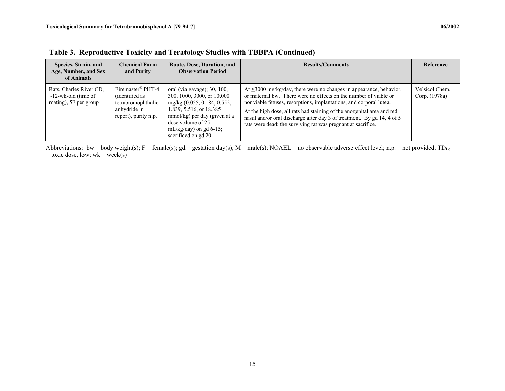| Species, Strain, and<br>Age, Number, and Sex<br>of Animals                    | <b>Chemical Form</b><br>and Purity                                                                            | Route, Dose, Duration, and<br><b>Observation Period</b>                                                                                                                                                                      | <b>Results/Comments</b>                                                                                                                                                                                                                                                                                                                                                                                                                | Reference                       |
|-------------------------------------------------------------------------------|---------------------------------------------------------------------------------------------------------------|------------------------------------------------------------------------------------------------------------------------------------------------------------------------------------------------------------------------------|----------------------------------------------------------------------------------------------------------------------------------------------------------------------------------------------------------------------------------------------------------------------------------------------------------------------------------------------------------------------------------------------------------------------------------------|---------------------------------|
| Rats, Charles River CD.<br>$\sim$ 12-wk-old (time of<br>mating), 5F per group | Firemaster <sup>®</sup> PHT-4<br>(identified as<br>tetrabromophthalic<br>anhydride in<br>report), purity n.p. | oral (via gavage); 30, 100,<br>300, 1000, 3000, or 10,000<br>mg/kg (0.055, 0.184, 0.552,<br>1.839, 5.516, or 18.385<br>mmol/kg) per day (given at a<br>dose volume of 25<br>mL/kg/day) on gd $6-15$ ;<br>sacrificed on gd 20 | At $\leq$ 3000 mg/kg/day, there were no changes in appearance, behavior,<br>or maternal bw. There were no effects on the number of viable or<br>nonviable fetuses, resorptions, implantations, and corporal lutea.<br>At the high dose, all rats had staining of the anogenital area and red<br>nasal and/or oral discharge after day 3 of treatment. By gd 14, 4 of 5<br>rats were dead; the surviving rat was pregnant at sacrifice. | Velsicol Chem.<br>Corp. (1978a) |

**Table 3. Reproductive Toxicity and Teratology Studies with TBBPA (Continued)** 

Abbreviations: bw = body weight(s); F = female(s); gd = gestation day(s); M = male(s); NOAEL = no observable adverse effect level; n.p. = not provided; TD<sub>Lo</sub>  $=$  toxic dose, low; wk  $=$  week(s)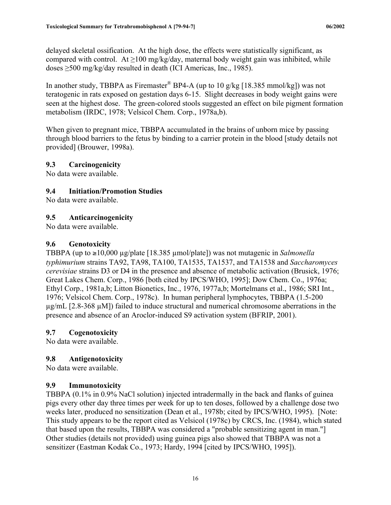<span id="page-22-0"></span>delayed skeletal ossification. At the high dose, the effects were statistically significant, as compared with control. At  $\geq$ 100 mg/kg/day, maternal body weight gain was inhibited, while doses ≥500 mg/kg/day resulted in death (ICI Americas, Inc., 1985).

In another study, TBBPA as Firemaster<sup>®</sup> BP4-A (up to 10 g/kg [18.385 mmol/kg]) was not teratogenic in rats exposed on gestation days 6-15. Slight decreases in body weight gains were seen at the highest dose. The green-colored stools suggested an effect on bile pigment formation metabolism (IRDC, 1978; Velsicol Chem. Corp., 1978a,b).

When given to pregnant mice, TBBPA accumulated in the brains of unborn mice by passing through blood barriers to the fetus by binding to a carrier protein in the blood [study details not provided] (Brouwer, 1998a).

#### **9.3 Carcinogenicity**

No data were available.

#### **9.4 Initiation/Promotion Studies**

No data were available.

#### **9.5 Anticarcinogenicity**

No data were available.

#### **9.6 Genotoxicity**

TBBPA (up to ≥10,000 µg/plate [18.385 µmol/plate]) was not mutagenic in *Salmonella typhimurium* strains TA92, TA98, TA100, TA1535, TA1537, and TA1538 and *Saccharomyces cerevisiae* strains D3 or D4 in the presence and absence of metabolic activation (Brusick, 1976; Great Lakes Chem. Corp., 1986 [both cited by IPCS/WHO, 1995]; Dow Chem. Co., 1976a; Ethyl Corp., 1981a,b; Litton Bionetics, Inc., 1976, 1977a,b; Mortelmans et al., 1986; SRI Int., 1976; Velsicol Chem. Corp., 1978c). In human peripheral lymphocytes, TBBPA (1.5-200 µg/mL [2.8-368 µM]) failed to induce structural and numerical chromosome aberrations in the presence and absence of an Aroclor-induced S9 activation system (BFRIP, 2001).

#### **9.7 Cogenotoxicity**

No data were available.

#### **9.8 Antigenotoxicity**

No data were available.

#### **9.9 Immunotoxicity**

TBBPA (0.1% in 0.9% NaCl solution) injected intradermally in the back and flanks of guinea pigs every other day three times per week for up to ten doses, followed by a challenge dose two weeks later, produced no sensitization (Dean et al., 1978b; cited by IPCS/WHO, 1995). [Note: This study appears to be the report cited as Velsicol (1978c) by CRCS, Inc. (1984), which stated that based upon the results, TBBPA was considered a "probable sensitizing agent in man."] Other studies (details not provided) using guinea pigs also showed that TBBPA was not a sensitizer (Eastman Kodak Co., 1973; Hardy, 1994 [cited by IPCS/WHO, 1995]).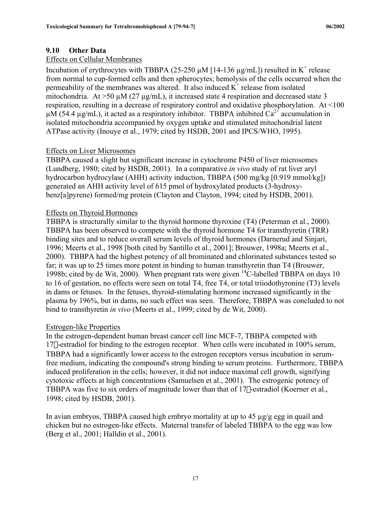## <span id="page-23-0"></span>**9.10 Other Data**

#### Effects on Cellular Membranes

Incubation of erythrocytes with TBBPA (25-250  $\mu$ M [14-136  $\mu$ g/mL]) resulted in K<sup>+</sup> release from normal to cup-formed cells and then spherocytes; hemolysis of the cells occurred when the permeability of the membranes was altered. It also induced  $K^+$  release from isolated mitochondria. At  $>50 \mu M$  (27  $\mu$ g/mL), it increased state 4 respiration and decreased state 3 respiration, resulting in a decrease of respiratory control and oxidative phosphorylation. At <100  $\mu$ M (54.4  $\mu$ g/mL), it acted as a respiratory inhibitor. TBBPA inhibited Ca<sup>2+</sup> accumulation in isolated mitochondria accompanied by oxygen uptake and stimulated mitochondrial latent ATPase activity (Inouye et al., 1979; cited by HSDB, 2001 and IPCS/WHO, 1995).

#### Effects on Liver Microsomes

TBBPA caused a slight but significant increase in cytochrome P450 of liver microsomes (Lundberg, 1980; cited by HSDB, 2001). In a comparative *in vivo* study of rat liver aryl hydrocarbon hydrocylase (AHH) activity induction, TBBPA (500 mg/kg [0.919 mmol/kg]) generated an AHH activity level of 615 pmol of hydroxylated products (3-hydroxybenz[a]pyrene) formed/mg protein (Clayton and Clayton, 1994; cited by HSDB, 2001).

#### Effects on Thyroid Hormones

TBBPA is structurally similar to the thyroid hormone thyroxine (T4) (Peterman et al., 2000). TBBPA has been observed to compete with the thyroid hormone T4 for transthyretin (TRR) binding sites and to reduce overall serum levels of thyroid hormones (Darnerud and Sinjari, 1996; Meerts et al., 1998 [both cited by Santillo et al., 2001]; Brouwer, 1998a; Meerts et al., 2000). TBBPA had the highest potency of all brominated and chlorinated substances tested so far; it was up to 25 times more potent in binding to human transthyretin than T4 (Brouwer, 1998b; cited by de Wit, 2000). When pregnant rats were given 14C-labelled TBBPA on days 10 to 16 of gestation, no effects were seen on total T4, free T4, or total triiodothyronine (T3) levels in dams or fetuses. In the fetuses, thyroid-stimulating hormone increased significantly in the plasma by 196%, but in dams, no such effect was seen. Therefore, TBBPA was concluded to not bind to transthyretin *in vivo* (Meerts et al., 1999; cited by de Wit, 2000).

#### Estrogen-like Properties

In the estrogen-dependent human breast cancer cell line MCF-7, TBBPA competed with 17b-estradiol for binding to the estrogen receptor. When cells were incubated in 100% serum, TBBPA had a significantly lower access to the estrogen receptors versus incubation in serumfree medium, indicating the compound's strong binding to serum proteins. Furthermore, TBBPA induced proliferation in the cells; however, it did not induce maximal cell growth, signifying cytotoxic effects at high concentrations (Samuelsen et al., 2001). The estrogenic potency of TBBPA was five to six orders of magnitude lower than that of 17 $\beta$ -estradiol (Koerner et al., 1998; cited by HSDB, 2001).

In avian embryos, TBBPA caused high embryo mortality at up to 45  $\mu$ g/g egg in quail and chicken but no estrogen-like effects. Maternal transfer of labeled TBBPA to the egg was low (Berg et al., 2001; Halldin et al., 2001).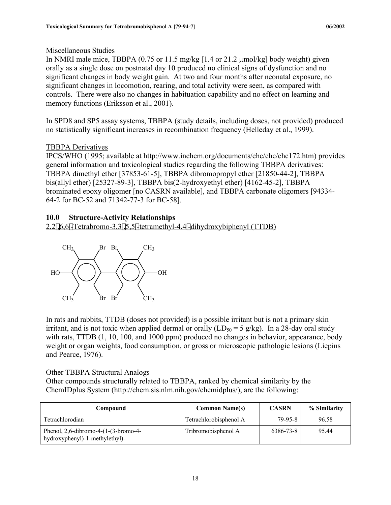### Miscellaneous Studies

In NMRI male mice, TBBPA (0.75 or 11.5 mg/kg [1.4 or 21.2 µmol/kg] body weight) given orally as a single dose on postnatal day 10 produced no clinical signs of dysfunction and no significant changes in body weight gain. At two and four months after neonatal exposure, no significant changes in locomotion, rearing, and total activity were seen, as compared with controls. There were also no changes in habituation capability and no effect on learning and memory functions (Eriksson et al., 2001).

In SPD8 and SP5 assay systems, TBBPA (study details, including doses, not provided) produced no statistically significant increases in recombination frequency (Helleday et al., 1999).

## TBBPA Derivatives

IPCS/WHO (1995; available at http://www.inchem.org/documents/ehc/ehc/ehc172.htm) provides general information and toxicological studies regarding the following TBBPA derivatives: TBBPA dimethyl ether [37853-61-5], TBBPA dibromopropyl ether [21850-44-2], TBBPA bis(allyl ether) [25327-89-3], TBBPA bis(2-hydroxyethyl ether) [4162-45-2], TBBPA brominated epoxy oligomer [no CASRN available], and TBBPA carbonate oligomers [94334- 64-2 for BC-52 and 71342-77-3 for BC-58].

## **10.0 Structure-Activity Relationships**

2,2¢,6,6¢-Tetrabromo-3,3¢,5,5¢-tetramethyl-4,4¢-dihydroxybiphenyl (TTDB)



In rats and rabbits, TTDB (doses not provided) is a possible irritant but is not a primary skin irritant, and is not toxic when applied dermal or orally  $(LD_{50} = 5 \text{ g/kg})$ . In a 28-day oral study with rats, TTDB (1, 10, 100, and 1000 ppm) produced no changes in behavior, appearance, body weight or organ weights, food consumption, or gross or microscopic pathologic lesions (Liepins and Pearce, 1976).

#### Other TBBPA Structural Analogs

Other compounds structurally related to TBBPA, ranked by chemical similarity by the ChemIDplus System (http://chem.sis.nlm.nih.gov/chemidplus/), are the following:

| Compound                                                                     | <b>Common Name(s)</b>  | <b>CASRN</b> | % Similarity |
|------------------------------------------------------------------------------|------------------------|--------------|--------------|
| Tetrachlorodian                                                              | Tetrachlorobisphenol A | $79-95-8$    | 96.58        |
| Phenol, $2,6$ -dibromo-4- $(1-(3-bromo-4-$<br>hydroxyphenyl)-1-methylethyl)- | Tribromobisphenol A    | 6386-73-8    | 95.44        |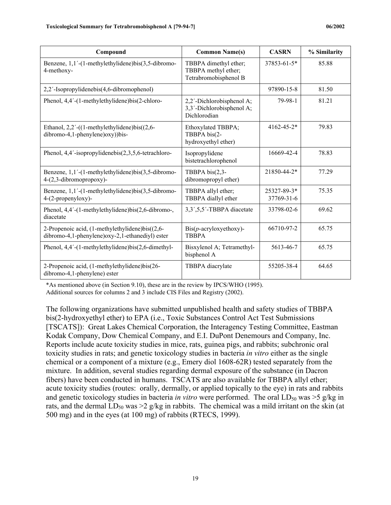| Compound                                                                                           | <b>Common Name(s)</b>                                                  | <b>CASRN</b>              | % Similarity |
|----------------------------------------------------------------------------------------------------|------------------------------------------------------------------------|---------------------------|--------------|
| Benzene, 1,1'-(1-methylethylidene)bis(3,5-dibromo-<br>4-methoxy-                                   | TBBPA dimethyl ether;<br>TBBPA methyl ether;<br>Tetrabromobisphenol B  | 37853-61-5*               | 85.88        |
| 2,2'-Isopropylidenebis(4,6-dibromophenol)                                                          |                                                                        | 97890-15-8                | 81.50        |
| Phenol, 4,4'-(1-methylethylidene)bis(2-chloro-                                                     | 2,2'-Dichlorobisphenol A;<br>3,3'-Dichlorobisphenol A;<br>Dichlorodian | 79-98-1                   | 81.21        |
| Ethanol, $2,2'$ -((1-methylethylidene)bis( $(2,6$ -<br>dibromo-4,1-phenylene)oxy))bis-             | Ethoxylated TBBPA;<br>TBBPA bis(2-<br>hydroxyethyl ether)              | $4162 - 45 - 2*$          | 79.83        |
| Phenol, 4,4'-isopropylidenebis(2,3,5,6-tetrachloro-                                                | Isopropylidene<br>bistetrachlorophenol                                 | 16669-42-4                | 78.83        |
| Benzene, 1,1'-(1-methylethylidene)bis(3,5-dibromo-<br>4-(2,3-dibromopropoxy)-                      | TBBPA bis(2,3-<br>dibromopropyl ether)                                 | 21850-44-2*               | 77.29        |
| Benzene, 1,1'-(1-methylethylidene)bis(3,5-dibromo-<br>4-(2-propenyloxy)-                           | TBBPA allyl ether;<br>TBBPA diallyl ether                              | 25327-89-3*<br>37769-31-6 | 75.35        |
| Phenol, 4,4'-(1-methylethylidene)bis(2,6-dibromo-,<br>diacetate                                    | 3,3',5,5'-TBBPA diacetate                                              | 33798-02-6                | 69.62        |
| 2-Propenoic acid, (1-methylethylidene)bis((2,6-<br>dibromo-4,1-phenylene)oxy-2,1-ethanediyl) ester | $\text{Bis}(p\text{-acrylovyethoxy})$ -<br><b>TBBPA</b>                | 66710-97-2                | 65.75        |
| Phenol, $4,4'$ - $(1$ -methylethylidene)bis $(2,6$ -dimethyl-                                      | Bisxylenol A; Tetramethyl-<br>bisphenol A                              | 5613-46-7                 | 65.75        |
| 2-Propenoic acid, (1-methylethylidene)bis(26-<br>dibromo-4,1-phenylene) ester                      | TBBPA diacrylate                                                       | 55205-38-4                | 64.65        |

\*As mentioned above (in Section 9.10), these are in the review by IPCS/WHO (1995).

Additional sources for columns 2 and 3 include CIS Files and Registry (2002).

The following organizations have submitted unpublished health and safety studies of TBBPA bis(2-hydroxyethyl ether) to EPA (i.e., Toxic Substances Control Act Test Submissions [TSCATS]): Great Lakes Chemical Corporation, the Interagency Testing Committee, Eastman Kodak Company, Dow Chemical Company, and E.I. DuPont Denemours and Company, Inc. Reports include acute toxicity studies in mice, rats, guinea pigs, and rabbits; subchronic oral toxicity studies in rats; and genetic toxicology studies in bacteria *in vitro* either as the single chemical or a component of a mixture (e.g., Emery diol 1608-62R) tested separately from the mixture. In addition, several studies regarding dermal exposure of the substance (in Dacron fibers) have been conducted in humans. TSCATS are also available for TBBPA allyl ether; acute toxicity studies (routes: orally, dermally, or applied topically to the eye) in rats and rabbits and genetic toxicology studies in bacteria *in vitro* were performed. The oral  $LD_{50}$  was  $>5$  g/kg in rats, and the dermal  $LD_{50}$  was  $\geq$  g/kg in rabbits. The chemical was a mild irritant on the skin (at 500 mg) and in the eyes (at 100 mg) of rabbits (RTECS, 1999).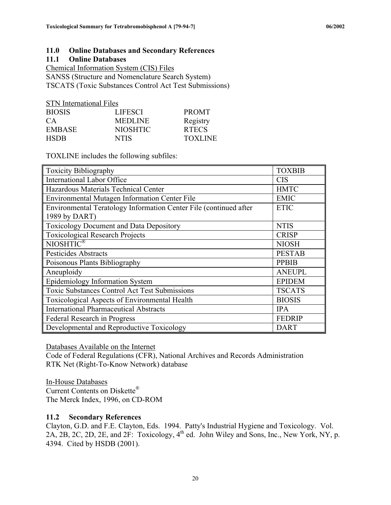#### **11.0 Online Databases and Secondary References**

#### **11.1 Online Databases**

Chemical Information System (CIS) Files SANSS (Structure and Nomenclature Search System) TSCATS (Toxic Substances Control Act Test Submissions)

| <b>STN</b> International Files |                |
|--------------------------------|----------------|
| <b>LIFESCI</b>                 | <b>PROMT</b>   |
| <b>MEDLINE</b>                 | Registry       |
| <b>NIOSHTIC</b>                | <b>RTECS</b>   |
| <b>NTIS</b>                    | <b>TOXLINE</b> |
|                                |                |

TOXLINE includes the following subfiles:

| <b>Toxicity Bibliography</b>                                      | <b>TOXBIB</b> |
|-------------------------------------------------------------------|---------------|
| <b>International Labor Office</b>                                 | <b>CIS</b>    |
| Hazardous Materials Technical Center                              | <b>HMTC</b>   |
| Environmental Mutagen Information Center File                     | <b>EMIC</b>   |
| Environmental Teratology Information Center File (continued after | <b>ETIC</b>   |
| 1989 by DART)                                                     |               |
| <b>Toxicology Document and Data Depository</b>                    | <b>NTIS</b>   |
| <b>Toxicological Research Projects</b>                            | <b>CRISP</b>  |
| NIOSHTIC <sup>®</sup>                                             | <b>NIOSH</b>  |
| <b>Pesticides Abstracts</b>                                       | <b>PESTAB</b> |
| Poisonous Plants Bibliography                                     | <b>PPBIB</b>  |
| Aneuploidy                                                        | <b>ANEUPL</b> |
| Epidemiology Information System                                   | <b>EPIDEM</b> |
| <b>Toxic Substances Control Act Test Submissions</b>              | <b>TSCATS</b> |
| Toxicological Aspects of Environmental Health                     | <b>BIOSIS</b> |
| <b>International Pharmaceutical Abstracts</b>                     | <b>IPA</b>    |
| Federal Research in Progress                                      | <b>FEDRIP</b> |
| Developmental and Reproductive Toxicology                         | <b>DART</b>   |

Databases Available on the Internet

Code of Federal Regulations (CFR), National Archives and Records Administration RTK Net (Right-To-Know Network) database

In-House Databases Current Contents on Diskette® The Merck Index, 1996, on CD-ROM

#### **11.2 Secondary References**

Clayton, G.D. and F.E. Clayton, Eds. 1994. Patty's Industrial Hygiene and Toxicology. Vol. 2A, 2B, 2C, 2D, 2E, and 2F: Toxicology,  $4^{th}$  ed. John Wiley and Sons, Inc., New York, NY, p. 4394. Cited by HSDB (2001).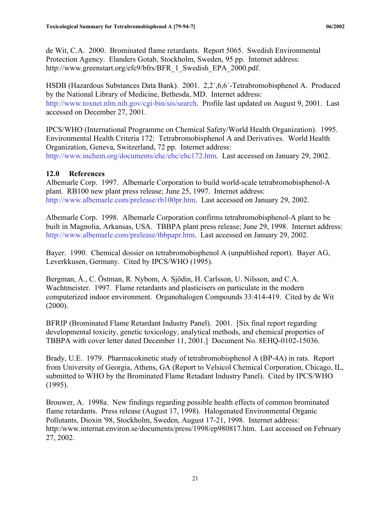<span id="page-27-0"></span>de Wit, C.A. 2000. Brominated flame retardants. Report 5065. Swedish Environmental Protection Agency. Elanders Gotab, Stockholm, Sweden, 95 pp. Internet address: http://www.greenstart.org/efc9/bfrs/BFR\_1\_Swedish\_EPA\_2000.pdf.

HSDB (Hazardous Substances Data Bank). 2001. 2,2´,6,6´-Tetrabromobisphenol A. Produced by the National Library of Medicine, Bethesda, MD. Internet address: http://www.toxnet.nlm.nih.gov/cgi-bin/sis/search. Profile last updated on August 9, 2001. Last accessed on December 27, 2001.

IPCS/WHO (International Programme on Chemical Safety/World Health Organization). 1995. Environmental Health Criteria 172: Tetrabromobisphenol A and Derivatives. World Health Organization, Geneva, Switzerland, 72 pp. Internet address: http://www.inchem.org/documents/ehc/ehc/ehc172.htm. Last accessed on January 29, 2002.

#### **12.0 References**

Albemarle Corp. 1997. Albemarle Corporation to build world-scale tetrabromobisphenol-A plant. RB100 new plant press release; June 25, 1997. Internet address: http://www.albemarle.com/prelease/rb100pr.htm. Last accessed on January 29, 2002.

Albemarle Corp. 1998. Albemarle Corporation confirms tetrabromobisphenol-A plant to be built in Magnolia, Arkansas, USA. TBBPA plant press release; June 29, 1998. Internet address: http://www.albemarle.com/prelease/tbbpapr.htm. Last accessed on January 29, 2002.

Bayer. 1990. Chemical dossier on tetrabromobisphenol A (unpublished report). Bayer AG, Leverkkusen, Germany. Cited by IPCS/WHO (1995).

Bergman, Å., C. Östman, R. Nybom, A. Sjödin, H. Carlsson, U. Nilsson, and C.A. Wachtmeister. 1997. Flame retardants and plasticisers on particulate in the modern computerized indoor environment. Organohalogen Compounds 33:414-419. Cited by de Wit  $(2000)$ .

BFRIP (Brominated Flame Retardant Industry Panel). 2001. [Six final report regarding developmental toxicity, genetic toxicology, analytical methods, and chemical properties of TBBPA with cover letter dated December 11, 2001.] Document No. 8EHQ-0102-15036.

Brady, U.E. 1979. Pharmacokinetic study of tetrabromobisphenol A (BP-4A) in rats. Report from University of Georgia, Athens, GA (Report to Velsicol Chemical Corporation, Chicago, IL, submitted to WHO by the Brominated Flame Retadant Industry Panel). Cited by IPCS/WHO (1995).

Brouwer, A. 1998a. New findings regarding possible health effects of common brominated flame retardants. Press release (August 17, 1998). Halogenated Environmental Organic Pollutants, Dioxin '98, Stockholm, Sweden, August 17-21, 1998. Internet address: http:/www.internat.environ.se/documents/press/1998/ep980817.htm. Last accessed on February 27, 2002.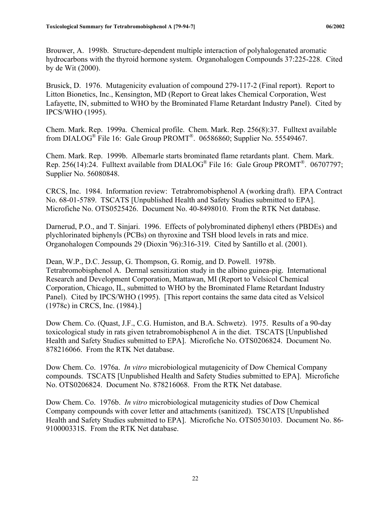Brouwer, A. 1998b. Structure-dependent multiple interaction of polyhalogenated aromatic hydrocarbons with the thyroid hormone system. Organohalogen Compounds 37:225-228. Cited by de Wit (2000).

Brusick, D. 1976. Mutagenicity evaluation of compound 279-117-2 (Final report). Report to Litton Bionetics, Inc., Kensington, MD (Report to Great lakes Chemical Corporation, West Lafayette, IN, submitted to WHO by the Brominated Flame Retardant Industry Panel). Cited by IPCS/WHO (1995).

Chem. Mark. Rep. 1999a. Chemical profile. Chem. Mark. Rep. 256(8):37. Fulltext available from DIALOG® File 16: Gale Group PROMT®. 06586860; Supplier No. 55549467.

Chem. Mark. Rep. 1999b. Albemarle starts brominated flame retardants plant. Chem. Mark. Rep. 256(14):24. Fulltext available from DIALOG® File 16: Gale Group PROMT®. 06707797; Supplier No. 56080848.

CRCS, Inc. 1984. Information review: Tetrabromobisphenol A (working draft). EPA Contract No. 68-01-5789. TSCATS [Unpublished Health and Safety Studies submitted to EPA]. Microfiche No. OTS0525426. Document No. 40-8498010. From the RTK Net database.

Darnerud, P.O., and T. Sinjari. 1996. Effects of polybrominated diphenyl ethers (PBDEs) and plychlorinated biphenyls (PCBs) on thyroxine and TSH blood levels in rats and mice. Organohalogen Compounds 29 (Dioxin '96):316-319. Cited by Santillo et al. (2001).

Dean, W.P., D.C. Jessup, G. Thompson, G. Romig, and D. Powell. 1978b. Tetrabromobisphenol A. Dermal sensitization study in the albino guinea-pig. International Research and Development Corporation, Mattawan, MI (Report to Velsicol Chemical Corporation, Chicago, IL, submitted to WHO by the Brominated Flame Retardant Industry Panel). Cited by IPCS/WHO (1995). [This report contains the same data cited as Velsicol (1978c) in CRCS, Inc. (1984).]

Dow Chem. Co. (Quast, J.F., C.G. Humiston, and B.A. Schwetz). 1975. Results of a 90-day toxicological study in rats given tetrabromobisphenol A in the diet. TSCATS [Unpublished Health and Safety Studies submitted to EPA]. Microfiche No. OTS0206824. Document No. 878216066. From the RTK Net database.

Dow Chem. Co. 1976a. *In vitro* microbiological mutagenicity of Dow Chemical Company compounds. TSCATS [Unpublished Health and Safety Studies submitted to EPA]. Microfiche No. OTS0206824. Document No. 878216068. From the RTK Net database.

Dow Chem. Co. 1976b. *In vitro* microbiological mutagenicity studies of Dow Chemical Company compounds with cover letter and attachments (sanitized). TSCATS [Unpublished Health and Safety Studies submitted to EPA]. Microfiche No. OTS0530103. Document No. 86- 910000331S. From the RTK Net database.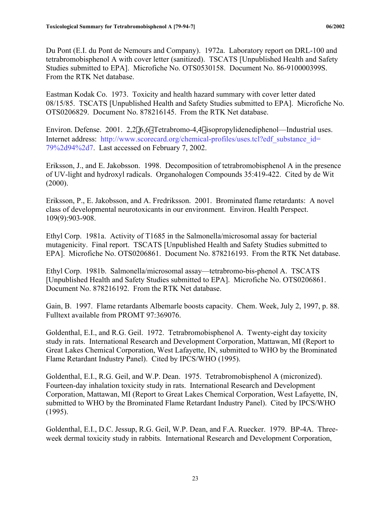Du Pont (E.I. du Pont de Nemours and Company). 1972a. Laboratory report on DRL-100 and tetrabromobisphenol A with cover letter (sanitized). TSCATS [Unpublished Health and Safety Studies submitted to EPA]. Microfiche No. OTS0530158. Document No. 86-910000399S. From the RTK Net database.

Eastman Kodak Co. 1973. Toxicity and health hazard summary with cover letter dated 08/15/85. TSCATS [Unpublished Health and Safety Studies submitted to EPA]. Microfiche No. OTS0206829. Document No. 878216145. From the RTK Net database.

Environ. Defense. 2001. 2,2',6,6'-Tetrabromo-4,4'-isopropylidenediphenol—Industrial uses. Internet address: http://www.scorecard.org/chemical-profiles/uses.tcl?edf\_substance\_id= 79%2d94%2d7. Last accessed on February 7, 2002.

Eriksson, J., and E. Jakobsson. 1998. Decomposition of tetrabromobisphenol A in the presence of UV-light and hydroxyl radicals. Organohalogen Compounds 35:419-422. Cited by de Wit (2000).

Eriksson, P., E. Jakobsson, and A. Fredriksson. 2001. Brominated flame retardants: A novel class of developmental neurotoxicants in our environment. Environ. Health Perspect. 109(9):903-908.

Ethyl Corp. 1981a. Activity of T1685 in the Salmonella/microsomal assay for bacterial mutagenicity. Final report. TSCATS [Unpublished Health and Safety Studies submitted to EPA]. Microfiche No. OTS0206861. Document No. 878216193. From the RTK Net database.

Ethyl Corp. 1981b. Salmonella/microsomal assay—tetrabromo-bis-phenol A. TSCATS [Unpublished Health and Safety Studies submitted to EPA]. Microfiche No. OTS0206861. Document No. 878216192. From the RTK Net database.

Gain, B. 1997. Flame retardants Albemarle boosts capacity. Chem. Week, July 2, 1997, p. 88. Fulltext available from PROMT 97:369076.

Goldenthal, E.I., and R.G. Geil. 1972. Tetrabromobisphenol A. Twenty-eight day toxicity study in rats. International Research and Development Corporation, Mattawan, MI (Report to Great Lakes Chemical Corporation, West Lafayette, IN, submitted to WHO by the Brominated Flame Retardant Industry Panel). Cited by IPCS/WHO (1995).

Goldenthal, E.I., R.G. Geil, and W.P. Dean. 1975. Tetrabromobisphenol A (micronized). Fourteen-day inhalation toxicity study in rats. International Research and Development Corporation, Mattawan, MI (Report to Great Lakes Chemical Corporation, West Lafayette, IN, submitted to WHO by the Brominated Flame Retardant Industry Panel). Cited by IPCS/WHO (1995).

Goldenthal, E.I., D.C. Jessup, R.G. Geil, W.P. Dean, and F.A. Ruecker. 1979. BP-4A. Threeweek dermal toxicity study in rabbits. International Research and Development Corporation,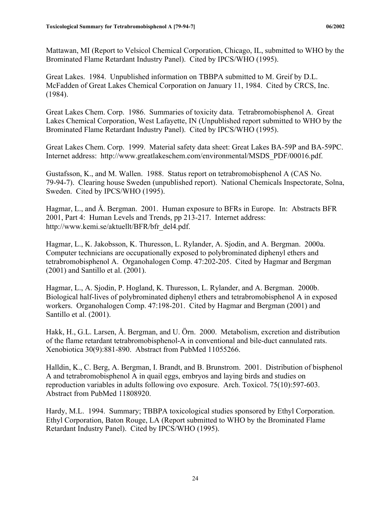Mattawan, MI (Report to Velsicol Chemical Corporation, Chicago, IL, submitted to WHO by the Brominated Flame Retardant Industry Panel). Cited by IPCS/WHO (1995).

Great Lakes. 1984. Unpublished information on TBBPA submitted to M. Greif by D.L. McFadden of Great Lakes Chemical Corporation on January 11, 1984. Cited by CRCS, Inc. (1984).

Great Lakes Chem. Corp. 1986. Summaries of toxicity data. Tetrabromobisphenol A. Great Lakes Chemical Corporation, West Lafayette, IN (Unpublished report submitted to WHO by the Brominated Flame Retardant Industry Panel). Cited by IPCS/WHO (1995).

Great Lakes Chem. Corp. 1999. Material safety data sheet: Great Lakes BA-59P and BA-59PC. Internet address: http://www.greatlakeschem.com/environmental/MSDS\_PDF/00016.pdf.

Gustafsson, K., and M. Wallen. 1988. Status report on tetrabromobisphenol A (CAS No. 79-94-7). Clearing house Sweden (unpublished report). National Chemicals Inspectorate, Solna, Sweden. Cited by IPCS/WHO (1995).

Hagmar, L., and Å. Bergman. 2001. Human exposure to BFRs in Europe. In: Abstracts BFR 2001, Part 4: Human Levels and Trends, pp 213-217. Internet address: http://www.kemi.se/aktuellt/BFR/bfr\_del4.pdf.

Hagmar, L., K. Jakobsson, K. Thuresson, L. Rylander, A. Sjodin, and A. Bergman. 2000a. Computer technicians are occupationally exposed to polybrominated diphenyl ethers and tetrabromobisphenol A. Organohalogen Comp. 47:202-205. Cited by Hagmar and Bergman (2001) and Santillo et al. (2001).

Hagmar, L., A. Sjodin, P. Hogland, K. Thuresson, L. Rylander, and A. Bergman. 2000b. Biological half-lives of polybrominated diphenyl ethers and tetrabromobisphenol A in exposed workers. Organohalogen Comp. 47:198-201. Cited by Hagmar and Bergman (2001) and Santillo et al. (2001).

Hakk, H., G.L. Larsen, Å. Bergman, and U. Örn. 2000. Metabolism, excretion and distribution of the flame retardant tetrabromobisphenol-A in conventional and bile-duct cannulated rats. Xenobiotica 30(9):881-890. Abstract from PubMed 11055266.

Halldin, K., C. Berg, A. Bergman, I. Brandt, and B. Brunstrom. 2001. Distribution of bisphenol A and tetrabromobisphenol A in quail eggs, embryos and laying birds and studies on reproduction variables in adults following ovo exposure. Arch. Toxicol. 75(10):597-603. Abstract from PubMed 11808920.

Hardy, M.L. 1994. Summary; TBBPA toxicological studies sponsored by Ethyl Corporation. Ethyl Corporation, Baton Rouge, LA (Report submitted to WHO by the Brominated Flame Retardant Industry Panel). Cited by IPCS/WHO (1995).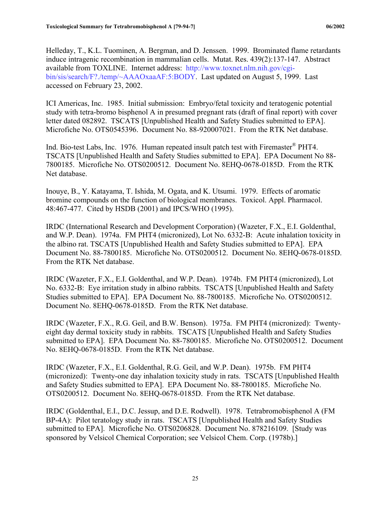Helleday, T., K.L. Tuominen, A. Bergman, and D. Jenssen. 1999. Brominated flame retardants induce intragenic recombination in mammalian cells. Mutat. Res. 439(2):137-147. Abstract available from TOXLINE. Internet address: http://www.toxnet.nlm.nih.gov/cgibin/sis/search/F?./temp/~AAAOxaaAF:5:BODY. Last updated on August 5, 1999. Last accessed on February 23, 2002.

ICI Americas, Inc. 1985. Initial submission: Embryo/fetal toxicity and teratogenic potential study with tetra-bromo bisphenol A in presumed pregnant rats (draft of final report) with cover letter dated 082892. TSCATS [Unpublished Health and Safety Studies submitted to EPA]. Microfiche No. OTS0545396. Document No. 88-920007021. From the RTK Net database.

Ind. Bio-test Labs, Inc. 1976. Human repeated insult patch test with Firemaster<sup>®</sup> PHT4. TSCATS [Unpublished Health and Safety Studies submitted to EPA]. EPA Document No 88- 7800185. Microfiche No. OTS0200512. Document No. 8EHQ-0678-0185D. From the RTK Net database.

Inouye, B., Y. Katayama, T. Ishida, M. Ogata, and K. Utsumi. 1979. Effects of aromatic bromine compounds on the function of biological membranes. Toxicol. Appl. Pharmacol. 48:467-477. Cited by HSDB (2001) and IPCS/WHO (1995).

IRDC (International Research and Development Corporation) (Wazeter, F.X., E.I. Goldenthal, and W.P. Dean). 1974a. FM PHT4 (micronized), Lot No. 6332-B: Acute inhalation toxicity in the albino rat. TSCATS [Unpublished Health and Safety Studies submitted to EPA]. EPA Document No. 88-7800185. Microfiche No. OTS0200512. Document No. 8EHQ-0678-0185D. From the RTK Net database.

IRDC (Wazeter, F.X., E.I. Goldenthal, and W.P. Dean). 1974b. FM PHT4 (micronized), Lot No. 6332-B: Eye irritation study in albino rabbits. TSCATS [Unpublished Health and Safety Studies submitted to EPA]. EPA Document No. 88-7800185. Microfiche No. OTS0200512. Document No. 8EHQ-0678-0185D. From the RTK Net database.

IRDC (Wazeter, F.X., R.G. Geil, and B.W. Benson). 1975a. FM PHT4 (micronized): Twentyeight day dermal toxicity study in rabbits. TSCATS [Unpublished Health and Safety Studies submitted to EPA]. EPA Document No. 88-7800185. Microfiche No. OTS0200512. Document No. 8EHQ-0678-0185D. From the RTK Net database.

IRDC (Wazeter, F.X., E.I. Goldenthal, R.G. Geil, and W.P. Dean). 1975b. FM PHT4 (micronized): Twenty-one day inhalation toxicity study in rats. TSCATS [Unpublished Health and Safety Studies submitted to EPA]. EPA Document No. 88-7800185. Microfiche No. OTS0200512. Document No. 8EHQ-0678-0185D. From the RTK Net database.

IRDC (Goldenthal, E.I., D.C. Jessup, and D.E. Rodwell). 1978. Tetrabromobisphenol A (FM BP-4A): Pilot teratology study in rats. TSCATS [Unpublished Health and Safety Studies submitted to EPA]. Microfiche No. OTS0206828. Document No. 878216109. [Study was sponsored by Velsicol Chemical Corporation; see Velsicol Chem. Corp. (1978b).]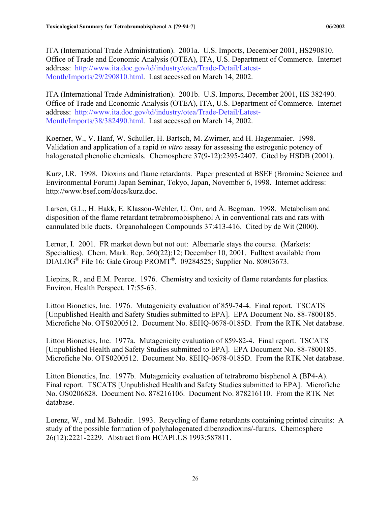ITA (International Trade Administration). 2001a. U.S. Imports, December 2001, HS290810. Office of Trade and Economic Analysis (OTEA), ITA, U.S. Department of Commerce. Internet address: http://www.ita.doc.gov/td/industry/otea/Trade-Detail/Latest-Month/Imports/29/290810.html. Last accessed on March 14, 2002.

ITA (International Trade Administration). 2001b. U.S. Imports, December 2001, HS 382490. Office of Trade and Economic Analysis (OTEA), ITA, U.S. Department of Commerce. Internet address: http://www.ita.doc.gov/td/industry/otea/Trade-Detail/Latest-Month/Imports/38/382490.html. Last accessed on March 14, 2002.

Koerner, W., V. Hanf, W. Schuller, H. Bartsch, M. Zwirner, and H. Hagenmaier. 1998. Validation and application of a rapid *in vitro* assay for assessing the estrogenic potency of halogenated phenolic chemicals. Chemosphere 37(9-12):2395-2407. Cited by HSDB (2001).

Kurz, I.R. 1998. Dioxins and flame retardants. Paper presented at BSEF (Bromine Science and Environmental Forum) Japan Seminar, Tokyo, Japan, November 6, 1998. Internet address: http://www.bsef.com/docs/kurz.doc.

Larsen, G.L., H. Hakk, E. Klasson-Wehler, U. Örn, and Å. Begman. 1998. Metabolism and disposition of the flame retardant tetrabromobisphenol A in conventional rats and rats with cannulated bile ducts. Organohalogen Compounds 37:413-416. Cited by de Wit (2000).

Lerner, I. 2001. FR market down but not out: Albemarle stays the course. (Markets: Specialties). Chem. Mark. Rep. 260(22):12; December 10, 2001. Fulltext available from DIALOG<sup>®</sup> File 16: Gale Group PROMT<sup>®</sup>. 09284525; Supplier No. 80803673.

Liepins, R., and E.M. Pearce. 1976. Chemistry and toxicity of flame retardants for plastics. Environ. Health Perspect. 17:55-63.

Litton Bionetics, Inc. 1976. Mutagenicity evaluation of 859-74-4. Final report. TSCATS [Unpublished Health and Safety Studies submitted to EPA]. EPA Document No. 88-7800185. Microfiche No. OTS0200512. Document No. 8EHQ-0678-0185D. From the RTK Net database.

Litton Bionetics, Inc. 1977a. Mutagenicity evaluation of 859-82-4. Final report. TSCATS [Unpublished Health and Safety Studies submitted to EPA]. EPA Document No. 88-7800185. Microfiche No. OTS0200512. Document No. 8EHQ-0678-0185D. From the RTK Net database.

Litton Bionetics, Inc. 1977b. Mutagenicity evaluation of tetrabromo bisphenol A (BP4-A). Final report. TSCATS [Unpublished Health and Safety Studies submitted to EPA]. Microfiche No. OS0206828. Document No. 878216106. Document No. 878216110. From the RTK Net database.

Lorenz, W., and M. Bahadir. 1993. Recycling of flame retardants containing printed circuits: A study of the possible formation of polyhalogenated dibenzodioxins/-furans. Chemosphere 26(12):2221-2229. Abstract from HCAPLUS 1993:587811.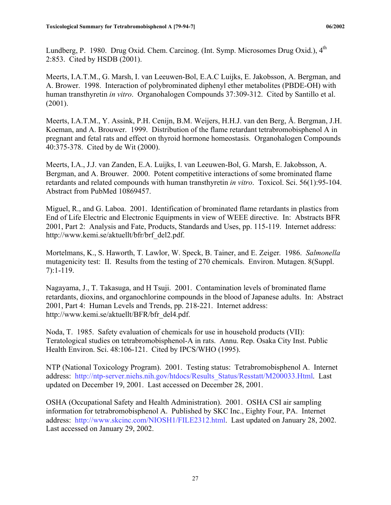Lundberg, P. 1980. Drug Oxid. Chem. Carcinog. (Int. Symp. Microsomes Drug Oxid.), 4<sup>th</sup> 2:853. Cited by HSDB (2001).

Meerts, I.A.T.M., G. Marsh, I. van Leeuwen-Bol, E.A.C Luijks, E. Jakobsson, A. Bergman, and A. Brower. 1998. Interaction of polybrominated diphenyl ether metabolites (PBDE-OH) with human transthyretin *in vitro*. Organohalogen Compounds 37:309-312. Cited by Santillo et al. (2001).

Meerts, I.A.T.M., Y. Assink, P.H. Cenijn, B.M. Weijers, H.H.J. van den Berg, Å. Bergman, J.H. Koeman, and A. Brouwer. 1999. Distribution of the flame retardant tetrabromobisphenol A in pregnant and fetal rats and effect on thyroid hormone homeostasis. Organohalogen Compounds 40:375-378. Cited by de Wit (2000).

Meerts, I.A., J.J. van Zanden, E.A. Luijks, I. van Leeuwen-Bol, G. Marsh, E. Jakobsson, A. Bergman, and A. Brouwer. 2000. Potent competitive interactions of some brominated flame retardants and related compounds with human transthyretin *in vitro*. Toxicol. Sci. 56(1):95-104. Abstract from PubMed 10869457.

Miguel, R., and G. Laboa. 2001. Identification of brominated flame retardants in plastics from End of Life Electric and Electronic Equipments in view of WEEE directive. In: Abstracts BFR 2001, Part 2: Analysis and Fate, Products, Standards and Uses, pp. 115-119. Internet address: http://www.kemi.se/aktuellt/bfr/brf\_del2.pdf.

Mortelmans, K., S. Haworth, T. Lawlor, W. Speck, B. Tainer, and E. Zeiger. 1986. *Salmonella*  mutagenicity test: II. Results from the testing of 270 chemicals. Environ. Mutagen. 8(Suppl. 7):1-119.

Nagayama, J., T. Takasuga, and H Tsuji. 2001. Contamination levels of brominated flame retardants, dioxins, and organochlorine compounds in the blood of Japanese adults. In: Abstract 2001, Part 4: Human Levels and Trends, pp. 218-221. Internet address: http://www.kemi.se/aktuellt/BFR/bfr\_del4.pdf.

Noda, T. 1985. Safety evaluation of chemicals for use in household products (VII): Teratological studies on tetrabromobisphenol-A in rats. Annu. Rep. Osaka City Inst. Public Health Environ. Sci. 48:106-121. Cited by IPCS/WHO (1995).

NTP (National Toxicology Program). 2001. Testing status: Tetrabromobisphenol A. Internet address: http://ntp-server.niehs.nih.gov/htdocs/Results\_Status/Resstatt/M200033.Html. Last updated on December 19, 2001. Last accessed on December 28, 2001.

OSHA (Occupational Safety and Health Administration). 2001. OSHA CSI air sampling information for tetrabromobisphenol A. Published by SKC Inc., Eighty Four, PA. Internet address: http://www.skcinc.com/NIOSH1/FILE2312.html. Last updated on January 28, 2002. Last accessed on January 29, 2002.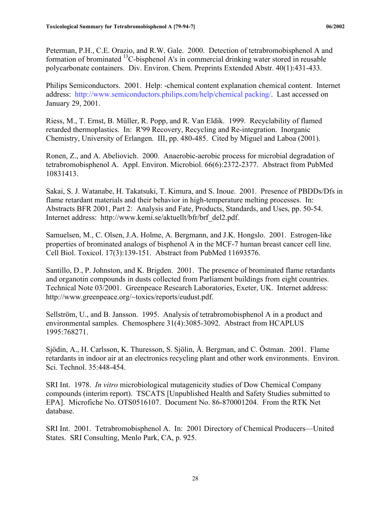Peterman, P.H., C.E. Orazio, and R.W. Gale. 2000. Detection of tetrabromobisphenol A and formation of brominated  ${}^{13}C$ -bisphenol A's in commercial drinking water stored in reusable polycarbonate containers. Div. Environ. Chem. Preprints Extended Abstr. 40(1):431-433.

Philips Semiconductors. 2001. Help: -chemical content explanation chemical content. Internet address: http://www.semiconductors.philips.com/help/chemical packing/. Last accessed on January 29, 2001.

Riess, M., T. Ernst, B. Müller, R. Popp, and R. Van Eldik. 1999. Recyclability of flamed retarded thermoplastics. In: R'99 Recovery, Recycling and Re-integration. Inorganic Chemistry, University of Erlangen. III, pp. 480-485. Cited by Miguel and Laboa (2001).

Ronen, Z., and A. Abeliovich. 2000. Anaerobic-aerobic process for microbial degradation of tetrabromobisphenol A. Appl. Environ. Microbiol. 66(6):2372-2377. Abstract from PubMed 10831413.

Sakai, S. J. Watanabe, H. Takatsuki, T. Kimura, and S. Inoue. 2001. Presence of PBDDs/Dfs in flame retardant materials and their behavior in high-temperature melting processes. In: Abstracts BFR 2001, Part 2: Analysis and Fate, Products, Standards, and Uses, pp. 50-54. Internet address: http://www.kemi.se/aktuellt/bfr/brf\_del2.pdf.

Samuelsen, M., C. Olsen, J.A. Holme, A. Bergmann, and J.K. Hongslo. 2001. Estrogen-like properties of brominated analogs of bisphenol A in the MCF-7 human breast cancer cell line. Cell Biol. Toxicol. 17(3):139-151. Abstract from PubMed 11693576.

Santillo, D., P. Johnston, and K. Brigden. 2001. The presence of brominated flame retardants and organotin compounds in dusts collected from Parliament buildings from eight countries. Technical Note 03/2001. Greenpeace Research Laboratories, Exeter, UK. Internet address: http://www.greenpeace.org/~toxics/reports/eudust.pdf.

Sellström, U., and B. Jansson. 1995. Analysis of tetrabromobisphenol A in a product and environmental samples. Chemosphere 31(4):3085-3092. Abstract from HCAPLUS 1995:768271.

Sjödin, A., H. Carlsson, K. Thuresson, S. Sjölin, Å. Bergman, and C. Östman. 2001. Flame retardants in indoor air at an electronics recycling plant and other work environments. Environ. Sci. Technol. 35:448-454.

SRI Int. 1978. *In vitro* microbiological mutagenicity studies of Dow Chemical Company compounds (interim report). TSCATS [Unpublished Health and Safety Studies submitted to EPA]. Microfiche No. OTS0516107. Document No. 86-870001204. From the RTK Net database.

SRI Int. 2001. Tetrabromobisphenol A. In: 2001 Directory of Chemical Producers—United States. SRI Consulting, Menlo Park, CA, p. 925.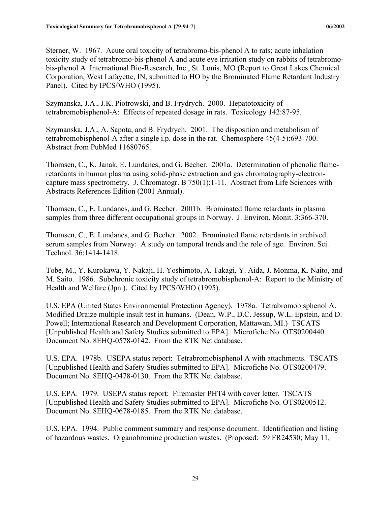Sterner, W. 1967. Acute oral toxicity of tetrabromo-bis-phenol A to rats; acute inhalation toxicity study of tetrabromo-bis-phenol A and acute eye irritation study on rabbits of tetrabromobis-phenol A International Bio-Research, Inc., St. Louis, MO (Report to Great Lakes Chemical Corporation, West Lafayette, IN, submitted to HO by the Brominated Flame Retardant Industry Panel). Cited by IPCS/WHO (1995).

Szymanska, J.A., J.K. Piotrowski, and B. Frydrych. 2000. Hepatotoxicity of tetrabromobisphenol-A: Effects of repeated dosage in rats. Toxicology 142:87-95.

Szymanska, J.A., A. Sapota, and B. Frydrych. 2001. The disposition and metabolism of tetrabromobisphenol-A after a single i.p. dose in the rat. Chemosphere 45(4-5):693-700. Abstract from PubMed 11680765.

Thomsen, C., K. Janak, E. Lundanes, and G. Becher. 2001a. Determination of phenolic flameretardants in human plasma using solid-phase extraction and gas chromatography-electroncapture mass spectrometry. J. Chromatogr. B 750(1):1-11. Abstract from Life Sciences with Abstracts References Edition (2001 Annual).

Thomsen, C., E. Lundanes, and G. Becher. 2001b. Brominated flame retardants in plasma samples from three different occupational groups in Norway. J. Environ. Monit. 3:366-370.

Thomsen, C., E. Lundanes, and G. Becher. 2002. Brominated flame retardants in archived serum samples from Norway: A study on temporal trends and the role of age. Environ. Sci. Technol. 36:1414-1418.

Tobe, M., Y. Kurokawa, Y. Nakaji, H. Yoshimoto, A. Takagi, Y. Aida, J. Monma, K. Naito, and M. Saito. 1986. Subchronic toxicity study of tetrabromobisphenol-A: Report to the Ministry of Health and Welfare (Jpn.). Cited by IPCS/WHO (1995).

U.S. EPA (United States Environmental Protection Agency). 1978a. Tetrabromobisphenol A. Modified Draize multiple insult test in humans. (Dean, W.P., D.C. Jessup, W.L. Epstein, and D. Powell; International Research and Development Corporation, Mattawan, MI.) TSCATS [Unpublished Health and Safety Studies submitted to EPA]. Microfiche No. OTS0200440. Document No. 8EHQ-0578-0142. From the RTK Net database.

U.S. EPA. 1978b. USEPA status report: Tetrabromobisphenol A with attachments. TSCATS [Unpublished Health and Safety Studies submitted to EPA]. Microfiche No. OTS0200479. Document No. 8EHQ-0478-0130. From the RTK Net database.

U.S. EPA. 1979. USEPA status report: Firemaster PHT4 with cover letter. TSCATS [Unpublished Health and Safety Studies submitted to EPA]. Microfiche No. OTS0200512. Document No. 8EHQ-0678-0185. From the RTK Net database.

U.S. EPA. 1994. Public comment summary and response document. Identification and listing of hazardous wastes. Organobromine production wastes. (Proposed: 59 FR24530; May 11,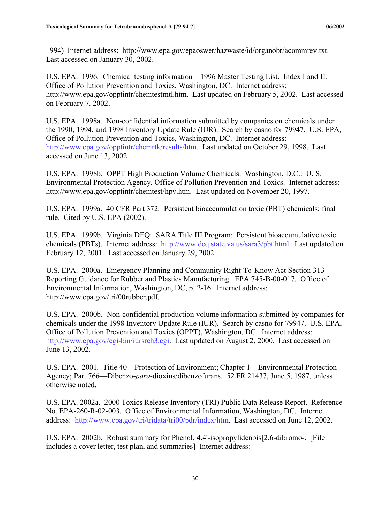1994) Internet address: http://www.epa.gov/epaoswer/hazwaste/id/organobr/acommrev.txt. Last accessed on January 30, 2002.

U.S. EPA. 1996. Chemical testing information—1996 Master Testing List. Index I and II. Office of Pollution Prevention and Toxics, Washington, DC. Internet address: http://www.epa.gov/opptintr/chemtestmtl.htm. Last updated on February 5, 2002. Last accessed on February 7, 2002.

U.S. EPA. 1998a. Non-confidential information submitted by companies on chemicals under the 1990, 1994, and 1998 Inventory Update Rule (IUR). Search by casno for 79947. U.S. EPA, Office of Pollution Prevention and Toxics, Washington, DC. Internet address: http://www.epa.gov/opptintr/chemrtk/results/htm. Last updated on October 29, 1998. Last accessed on June 13, 2002.

U.S. EPA. 1998b. OPPT High Production Volume Chemicals. Washington, D.C.: U. S. Environmental Protection Agency, Office of Pollution Prevention and Toxics. Internet address: http://www.epa.gov/opptintr/chemtest/hpv.htm. Last updated on November 20, 1997.

U.S. EPA. 1999a. 40 CFR Part 372: Persistent bioaccumulation toxic (PBT) chemicals; final rule. Cited by U.S. EPA (2002).

U.S. EPA. 1999b. Virginia DEQ: SARA Title III Program: Persistent bioaccumulative toxic chemicals (PBTs). Internet address: http://www.deq.state.va.us/sara3/pbt.html. Last updated on February 12, 2001. Last accessed on January 29, 2002.

U.S. EPA. 2000a. Emergency Planning and Community Right-To-Know Act Section 313 Reporting Guidance for Rubber and Plastics Manufacturing. EPA 745-B-00-017. Office of Environmental Information, Washington, DC, p. 2-16. Internet address: http://www.epa.gov/tri/00rubber.pdf.

U.S. EPA. 2000b. Non-confidential production volume information submitted by companies for chemicals under the 1998 Inventory Update Rule (IUR). Search by casno for 79947. U.S. EPA, Office of Pollution Prevention and Toxics (OPPT), Washington, DC. Internet address: http://www.epa.gov/cgi-bin/iursrch3.cgi. Last updated on August 2, 2000. Last accessed on June 13, 2002.

U.S. EPA. 2001. Title 40—Protection of Environment; Chapter 1—Environmental Protection Agency; Part 766—Dibenzo-*para*-dioxins/dibenzofurans. 52 FR 21437, June 5, 1987, unless otherwise noted.

U.S. EPA. 2002a. 2000 Toxics Release Inventory (TRI) Public Data Release Report. Reference No. EPA-260-R-02-003. Office of Environmental Information, Washington, DC. Internet address: http://www.epa.gov/tri/tridata/tri00/pdr/index/htm. Last accessed on June 12, 2002.

U.S. EPA. 2002b. Robust summary for Phenol, 4,4'-isopropylidenbis[2,6-dibromo-. [File includes a cover letter, test plan, and summaries] Internet address: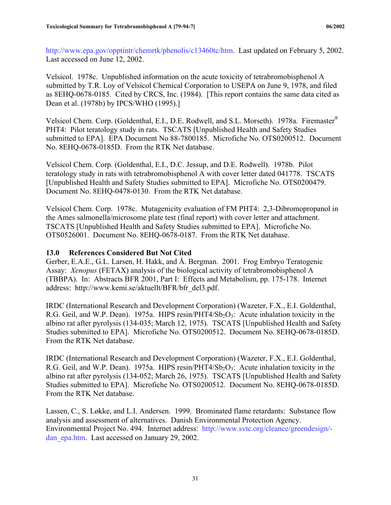<span id="page-37-0"></span>http://www.epa.gov/opptintr/chemrtk/phenolis/c13460tc/htm. Last updated on February 5, 2002. Last accessed on June 12, 2002.

Velsicol. 1978c. Unpublished information on the acute toxicity of tetrabromobisphenol A submitted by T.R. Loy of Velsicol Chemical Corporation to USEPA on June 9, 1978, and filed as 8EHQ-0678-0185. Cited by CRCS, Inc. (1984). [This report contains the same data cited as Dean et al. (1978b) by IPCS/WHO (1995).]

Velsicol Chem. Corp. (Goldenthal, E.I., D.E. Rodwell, and S.L. Morseth). 1978a. Firemaster® PHT4: Pilot teratology study in rats. TSCATS [Unpublished Health and Safety Studies submitted to EPA]. EPA Document No 88-7800185. Microfiche No. OTS0200512. Document No. 8EHQ-0678-0185D. From the RTK Net database.

Velsicol Chem. Corp. (Goldenthal, E.I., D.C. Jessup, and D.E. Rodwell). 1978b. Pilot teratology study in rats with tetrabromobisphenol A with cover letter dated 041778. TSCATS [Unpublished Health and Safety Studies submitted to EPA]. Microfiche No. OTS0200479. Document No. 8EHQ-0478-0130. From the RTK Net database.

Velsicol Chem. Corp. 1978c. Mutagenicity evaluation of FM PHT4: 2,3-Dibromopropanol in the Ames salmonella/microsome plate test (final report) with cover letter and attachment. TSCATS [Unpublished Health and Safety Studies submitted to EPA]. Microfiche No. OTS0526001. Document No. 8EHQ-0678-0187. From the RTK Net database.

#### **13.0 References Considered But Not Cited**

Gerber, E.A.E., G.L. Larsen, H. Hakk, and Å. Bergman. 2001. Frog Embryo Teratogenic Assay: *Xenopus* (FETAX) analysis of the biological activity of tetrabromobisphenol A (TBBPA). In: Abstracts BFR 2001, Part I: Effects and Metabolism, pp. 175-178. Internet address: http://www.kemi.se/aktuellt/BFR/bfr\_del3.pdf.

IRDC (International Research and Development Corporation) (Wazeter, F.X., E.I. Goldenthal, R.G. Geil, and W.P. Dean). 1975a. HIPS resin/PHT4/Sb<sub>2</sub>O<sub>3</sub>: Acute inhalation toxicity in the albino rat after pyrolysis (134-035; March 12, 1975). TSCATS [Unpublished Health and Safety Studies submitted to EPA]. Microfiche No. OTS0200512. Document No. 8EHQ-0678-0185D. From the RTK Net database.

IRDC (International Research and Development Corporation) (Wazeter, F.X., E.I. Goldenthal, R.G. Geil, and W.P. Dean). 1975a. HIPS resin/PHT4/Sb<sub>2</sub>O<sub>3</sub>: Acute inhalation toxicity in the albino rat after pyrolysis (134-052; March 26, 1975). TSCATS [Unpublished Health and Safety Studies submitted to EPA]. Microfiche No. OTS0200512. Document No. 8EHQ-0678-0185D. From the RTK Net database.

Lassen, C., S. Løkke, and L.I. Andersen. 1999. Brominated flame retardants: Substance flow analysis and assessment of alternatives. Danish Environmental Protection Agency. Environmental Project No. 494. Internet address: http://www.svtc.org/cleance/greendesign/ dan\_epa.htm. Last accessed on January 29, 2002.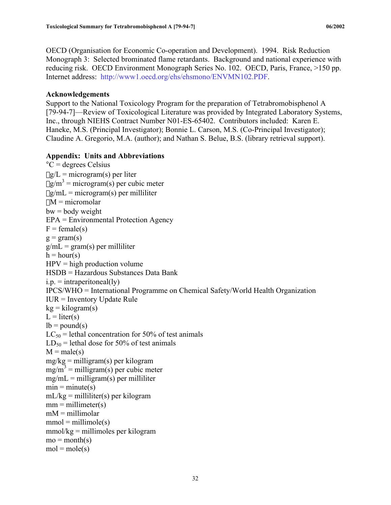<span id="page-38-0"></span>OECD (Organisation for Economic Co-operation and Development). 1994. Risk Reduction Monograph 3: Selected brominated flame retardants. Background and national experience with reducing risk. OECD Environment Monograph Series No. 102. OECD, Paris, France, >150 pp. Internet address: http://www1.oecd.org/ehs/ehsmono/ENVMN102.PDF.

#### **Acknowledgements**

Support to the National Toxicology Program for the preparation of Tetrabromobisphenol A [79-94-7]—Review of Toxicological Literature was provided by Integrated Laboratory Systems, Inc., through NIEHS Contract Number N01-ES-65402. Contributors included: Karen E. Haneke, M.S. (Principal Investigator); Bonnie L. Carson, M.S. (Co-Principal Investigator); Claudine A. Gregorio, M.A. (author); and Nathan S. Belue, B.S. (library retrieval support).

#### **Appendix: Units and Abbreviations**

```
C = degrees Celsius
\mug/L = microgram(s) per liter
\mug/m<sup>3</sup> = microgram(s) per cubic meter
\mug/mL = microgram(s) per milliliter
\muM = micromolar
bw = body weightEPA = Environmental Protection Agency 
F = female(s)g = gram(s)g/mL = gram(s) per milliliter
h = hour(s)HPV = high production volume
HSDB = Hazardous Substances Data Bank 
i.p. = intraperitoneal(ly)
IPCS/WHO = International Programme on Chemical Safety/World Health Organization
IUR = Inventory Update Rule
kg = kilogram(s)L = liter(s)
lb = pound(s)LC_{50} = lethal concentration for 50% of test animals
LD_{50} = lethal dose for 50% of test animals
M = male(s)mg/kg = milligram(s) per kilogram
mg/m^3 = milligram(s) per cubic meter
mg/mL = milligram(s) per milliliter
min = minute(s)mL/kg = milliliter(s) per kilogram
mm = millimeter(s)mM = millimolar
mmol = millimole(s)mmol/kg = millimoles per kilogram
mo = month(s)mol = mole(s)
```